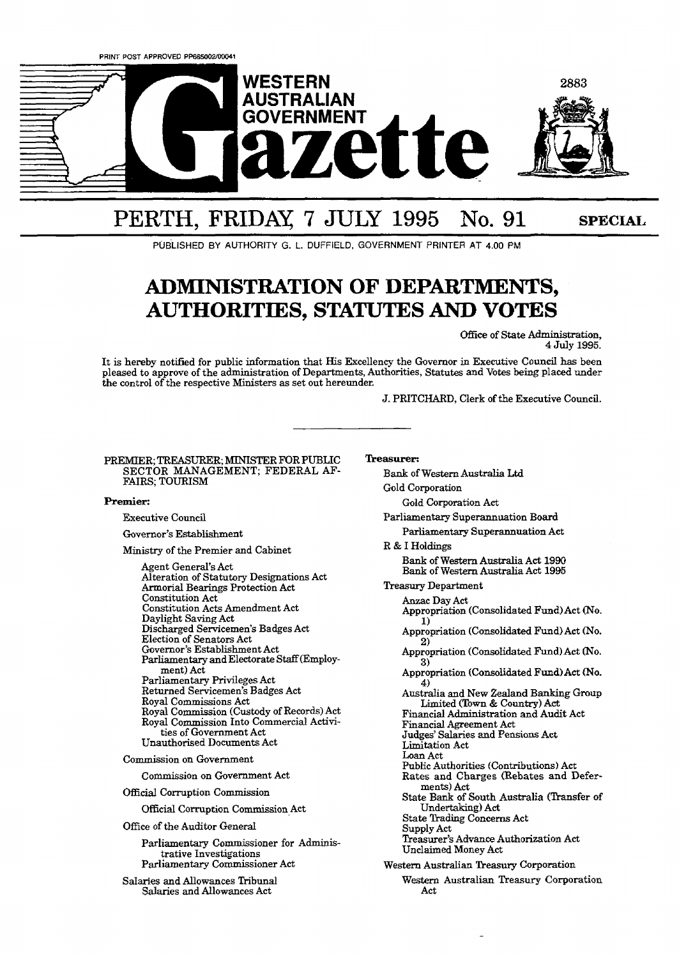

# PERTH, FRIDAY 7 JULY 1995 No. 91 SPECIAL

PUBLISHED BY AUTHORITY G. L. DUFFIELD, GOVERNMENT PRINTER AT **4.00 PM** 

# **ADMINISTRATION OF DEPARTMENTS, AUTHORITIES, STATUTES AND VOTES**

Office of State Administration, 4 July 1995.

It is hereby notified for public information that His Excellency the Governor in Executive CounciI has been pleased to approve of the administration of Departments, Authorities, Statutes and Votes **being** placed under the control of the respective Ministers as set out hereunder.

J. PRITCHARD, Clerk of the Executive Council.

#### PREMIER; TREASURER; MINISTER FOR **PUBLIC**  SECTOR MANAGEMENT; FEDERAL AF-FAIRS; TOURISM

#### **Premier:**

Executive Council

Governor's Establishment

Ministry of the Premier and Cabinet

Agent General's Act Alteration of Statutory Designations Act Armorial Bearings Protection Act Constitution Act Constitution Acts Amendment Act Daylight Saving Act Discharged Servicemen's Badges **Act**  Election of Senators Act Governor's Establishment Act Parliamentary and Electorate StafF(Emp1oyment) Act Parliamentary Privileges Act Returned Servicemen's Badges Act Royal Commissions Act Royal Commission (Custody of Records) Act Royal Commission Into Commercial Activities of Government Act Unauthorised Documents Act

Commission on Government

Commission on Government Act

**Official** Corruption Commission

Official Corruption Commission~Act

Office of the Auditor General

Parliamentary Commissioner for Administrative Investigations Parliamentary Commissioner Act

Salaries and Allowances Tribunal Salaries and Allowances Act

**'lkeasurer:**  Bank of Western **Australia Ltd**  Gold Corporation Gold Corporation Act Parliamentary Superannuation Board Parliamentary Superannuation Act R & I Holdings **Bank** of **Western** Australia Act 1990 **Bank** of **Western** Australia Act **1995**  Treasury Department Anzac Day Act Appropriation (Consolidated Fund)Act (No. **1)**  Appropriation (Consolidated Fund) Act (No. 2) ~~~G~riation (Consolidated **md)** Act **(NO. R\** 

Appropriation (Consolidated Fund) Act (No. **4)** 

~usaia and New Zealand Banking Group Limited (Town & Country) Act Financial Administration and Audit Act

Financial Agreement Act

Judges' **Salaries and** Pensions **Act** 

Limitation Act

Loan Act

Public Authorities (Contributions) Act Rates and **Charges** (Rebates and Defer-

ments) Act

**State Bank of South Australia (Transfer of** Undertaking) Act

**State Trading Concerns Act** 

Supply Act

**Treasurer's** Advance Authorization Act Unclaimed Money Act

Western Australian Treasury Corporation **Western** Australian Treasury Corporation Act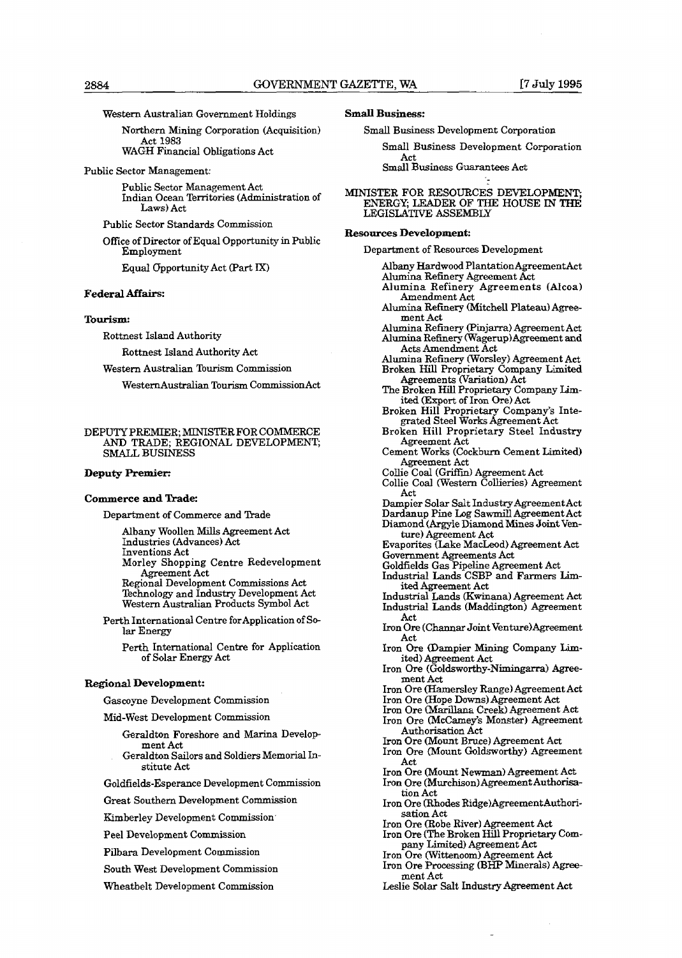Western Australian Government Holdings

Northern Mining Corporation (Acquisition) Act 1983 WAGH Financial Obligations Act

Public Sector Management:

Public Sector Management Act Indian Ocean Territories (Administration of Laws) Act

Public Sector Standards Commission

Office of Director of Equal Opportunity in Public Employment

Equal Opportunity Act (Part IX)

#### **Federal Affairs:**

#### **Tourism:**

Rottnest Island Authority

Rottnest Island Authority Act

Western Australian Tourism Commission

WesternAustralian Tourism CommissionAct

#### **DEPUTY** PREMIER; MINISTER FOR COMMERCE AND TRADE; REGIONAL DEVELOPMENT; SMALL BUSINESS

#### **Deputy Premier:**

#### **Commerce and Trade:**

Department of Commerce and Trade

Albany Woollen Mills Agreement Act Industries (Advances) Act Inventions Act Morley Shopping Centre Redevelopment Agreement Act Regional Development Commissions Act

 ${\rm Technology}$  and  ${\rm Index}$  Development Act Western Australian Products Symbol Act

Perth International Centre forApplication of Solar Energy

Perth International Centre for Application of Solar Energy Act

#### **Regional Development:**

Gascoyne Development Commission

Mid-West Development Commission

- Geraldton Foreshore and Marina Develop ment Act
- Geraldton Sailors and Soldiers Memorial Institute Act

Goldfields-Esperance Development Commission

Great Southern Development Commission

Kimberley Development Commission"

Peel Development Commission

**Pilbara** Development Commission

South West Development Commission

Wheatbelt Development Commission

#### **SmaU Business:**

Small Business Development Corporation

Smdl Business Development Corporation Act

Smdl **Business Guarantees** Act

MINISTER FOR RESOURCES DEVELOPMEW **ENXRGY;** LEADER OF **THE** HOUSE IN THE LEGISLATIVE ASSEMBLY

#### **Resources Development:**

Department of Resources Development

- Albany Hardwood PlantationAgreementAct **Alumina** Refinery Agreement Act
- Alumina Refinery Agreements (Alcoa) Amendment Act
- Alumina Refinery (Mitchell Plateau) Agreement **Act**
- Alumina Refinery (Pinjarra) Agreement Act **Alumina** Refinery Wagerup)Agreement and Acts Amendment Act
- Alumina Refinery (Worsley) Agreement Act Broken Hill Proprietary Company Limited
- Agreements (Variation) Act The Broken Hill Proprietary Company Lim-
- ited (Export of **Iroa Ore)** Act Broken Hill Proprietary Company's Inte-
- grated Steel Works Agreement Act Broken Hill Proprietary Steel Industry
- Agreement Act Cement Works (Cockburn Cement Limited)
- Agreement **Act**
- Collie Coal (Griffin) Agreement Act
- Collie Coal Western Collieries) Agreement Act
- Dampier Solar Salt Industry AgreementAct
- Dardanup Pine **Log** Sawmill Agreement Act  $Diamond$  (Argyle  $Diamond$  Mines **Joint Ven-**
- ture) Agreement Act Evaporites (Lake MacLeod) Agreement Act

Government Agreements Act

GoldfieIds Gas Pipeline Agreement Act

- Industrial Lands CSBP and Farmers Limited Agreement Act
- Industrial Lands **(Kwinana)** Agreement Act Industrial Lands (Maddington) Agreement Act
- Iron Ore (Channar Joint Venture)Agreement Act
- Iron **Ore** (Dampier **Mining** Company **Lim**ited) Agreement Act
- Iron Ore **(Goldsworthy-Nimingarra)** Agreement **Act**

Iron Ore (Hamersley Range) Agreement Act

- Iron Ore (Hope Downs) Agreement Act
- Iron Ore **(Marillana** Creek) Agreement Act
- Iron Ore (McCamey's Monster) Agreement Authorisation Act
- Iron Ore (Mount Bruce) Agreement **Act**
- Iron Ore (Mount Goldsworthy) Agreement Act
- Iron Ore (Mount **Newman)** Agreement Act
- Iron Ore **(Murchison)AgreematAuthorisa**tion Act
- Iron Ore (Rhodes Ridge)AgreementAuthori-
- sation Act Iron Ore (Robe River) Agreement Act
- Iron Ore (The Broken Hill Proprietary Company Limited) Agreement Act

Iron Ore (Wittenoom) Agreement **Act** 

- Iron Ore Processing (BHP Minerals) Agreement Act
- Leslie Solar Salt Industry Agreement Act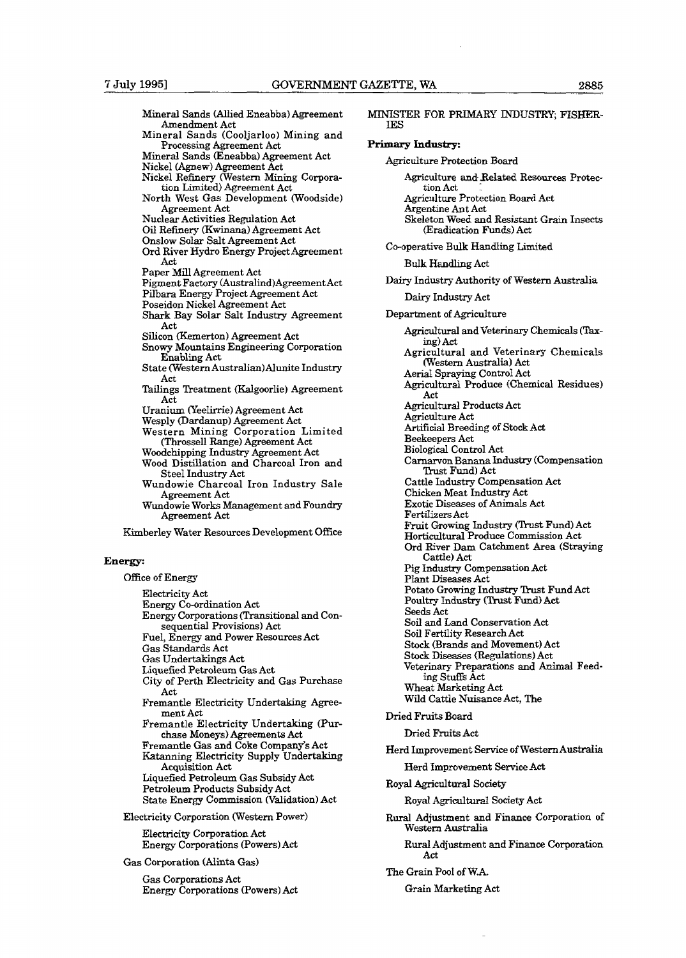Mineral Sands (Allied Eneabba) Agreement Amendment Act Mineral Sands (Cooljarloo) Mining and Processing Agreement Act Mineral Sands (Eneabba) Agreement Act Nickel (Agnew) Agreement Act Nickel Refinery **(Western Mining** Corporation Limited) Agreement Act North West **Gas** Development (Woodside) Agreement Act Nuclear Activities Regulation Act **Oil** Refmery (Kwinana) Agreement Act Onslow Solar Salt Agreement Act Ord River Hydro Energy Project Agreement Act Paper Mill Agreement Act Pigment Factory **(Austra1ind)AgreementAct**  Pilbara Energy Project Agreement Act Poseidon Nickel Agreement Act **Shark** Bay Solar Salt Industry Agreement Act Silicon (Kemerton) Agreement Act Snowy Mountains Engineering Corporation Enabling Act State **(WesternAustralian)Alunite** Industry Act Tailings Treatment (Kalgoorlie) Agreement Act Uranium (Yeelirrie) Agreement Act Wesply (Dardanup) Agreement Act Western Mining Corporation Limited (Throssell Range) Agreement Act Woodchipping Industry Agreement Act Wood Distillation and Charcoal Iron and Steel Industry Act Wundowie Charcoal Iron Industry Sale Agreement Act Wundowie Works Management and Foundry Agreement Act Kimberley Water Resources Development Office

### **Energy:**

Office of Energy

Electricity Act Energy Co-ordination Act Energy Corporations (Transitional and Consequential Provisions) Act Fuel, Energy and Power Resources Act Gas Standards Act **Gas** Undertakings Act Liquefied Petroleum Gas Act **City** of Perth Electricity and Gas Purchase Act Fremantle Electricity Undertaking Agreement Act Fremantle Electricity Undertaking (Purchase Moneys) Agreements Act Fremantle Gas and Coke Company's Act Katanning Electricity Supply Undertaking Acquisition Act Liquefied Petroleum Gas Subsidy Act Petroleum Products Subsidy Act State Energy Commission (Validation) Act

Electricity Corporation (Western Power) Electricity Corporation Act Energy Corporations (Powers) Act

#### Gas Corporation (Alinta Gas)

Gas Corporations Act Energy Corporations (Powers) Act

|     |  | MINISTER FOR PRIMARY INDUSTRY; FISHER- |  |
|-----|--|----------------------------------------|--|
| IES |  |                                        |  |

### Primary **Industry**:

Agriculture and.Related **Resources** Protection Act

Agriculture Protection Board **Ad** 

Argentine Ant Act

Skeleton Weed and Resistant **Grain** Insects (Eradication Funds) Act

Co-operative **Bulk Handling** Limited

**Bulk Handling Act** 

**Dairy** Industry Authority of Western Australia

Dairy Industry Act

Department of Agriculture

Agricultural and Veterinary Chemicals **(Tax**ing) Act

Agricultural and Veterinary Chemicals **(Western** Australia) Act Aerial Spraying Control Act

Agricultural Produce (Chemical Residues) Act

Agricultural Products Act Agriculture Act

Artificial Breeding of Stock Act

Beekeepers Act

Biological Control Act

Carnarvon **Banana** Industry (Compensation Trust Fund) Act

Cattle Industry Compensation Act

Chicken Meat Industry Act

Exotic Diseases of Animals Act

FertiIizers Act

Fruit Growing Industry (Trust Fund) Act Horticultural Produce Commission Act

Ord River Dam Catchment Area (Straying Cattle) Act

Pig Industry Compensation **Act** 

- Plant Diseases Act Potato Growing Industry Trust Fund Act
- Poultry Industry (Trust Fund) Act
- Seeds Act

Soil and Land Conservation Act Soil FertiIity Research Act

Stock **(Brands** and Movement) Act

Stock Diseases **(Regulations)** Act

Veterinary Preparations and Animal Feed**ing** Stuffs Act

Wheat Marketing Act

Wild Cattle Nuisance Act, The

### Dried **Fruits** Board

Dried Fruits Act

Herd Improvement Service of Western Australia

Herd Improvement **Service** Act

**Royal** Agricultural **Society** 

Royal **Agricultural** Society Act

Rural Adjustment and **Finance** Corporation of **Western Australia** 

Rural Adjustment and **Finance** Corporation **Act** 

The Grain Pool of **W.A.** 

#### **Grain** Marketing Act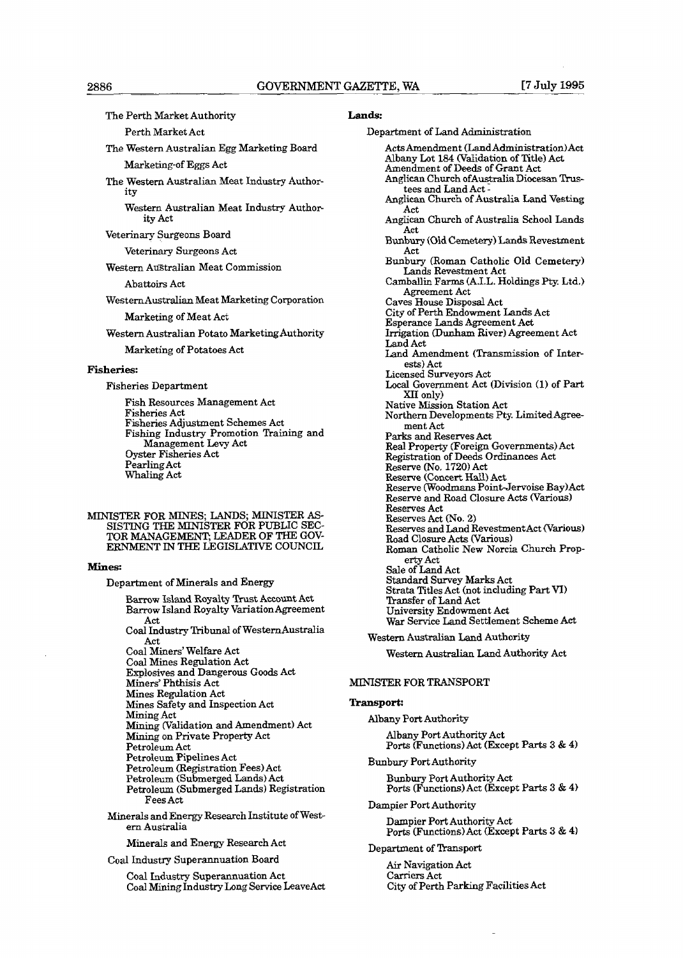The Perth Market Authority

Perth Market Act

The Western Australian **Egg** Marketing Board Marketing-of Eggs Act

The Western Australian Meat Industry Authority

**Western** Australian Meat Industry Authority Act

Veterinary Surgeons Board

Veterinary Surgeons Act

Western Australian Meat Commission

#### Abattoirs Act

WesternAustralian Meat Marketing Corporation

Marketing of Meat Act

Western Australian Potato MarketingAuthority

Marketing of Potatoes Act

#### **Fisheries:**

Fisheries Department

Fish Resources Management Act Fisheries Act Fisheries Adjustment Schemes Act Fishing Industry Promotion Training and Management Levy Act Oyster Fisheries Act Pearling Act Whaling Act

### MINISTER FOR MINES; LANDS; MINISTER AS-SISTING **THE** MINISTER FOR PUBLIC SEC-TOR MANAGEMENT, LEADER OF THE GOV-ERNMENT IN THE LEGISLATIVE COUNCIL

#### **Mines:**

Department of Minerals and Energy

**Bmw** Island **Royalty Trust Account Act**  Barrow Island Royalty VariationAgreement Act Coal Industry Tribunal of WesternAustralia Act Coal Miners' Welfare Act Coal Mines Regulation Act Explosives and Dangerous Goods Act Miners' Phthisis Act Mines Regulation Act Mines Safety and Inspection Act Mining Act Mining (Validation and Amendment) Act **Mining** on Private Property Act Petroleum Act Petroleum Pipelines Act Petroleum (Registration Fees) Act Petroleum (Submerged Lands) Act Petroleum (Submerged Lands) Registration Fees Act Minerals and Energy Research Institute of Western Australia Minerals and **Energy** Research Act Coal Industry Superannuation Board

**Coal** Industry Superamuation Act Cod Mining Industry Long Service LeaveAct

### **Lands:**

Department of Land Administration

Acts Amendment (Land Administration) Act **Albany** Lot **184** (Validation of Title) Act Amendment of Deeds of Grant Act Anglican Church ofAus\_tralia **Diocesan** Trustees and Land Act - Anglican Church **of** Australia Land **Vesting**  Act **Anglican** Church of Australia School Lands Act Bunbury (Old Cemetery) **Lands** Bevestment Act Bunbury (Roman Catholic Old Cemetery)

**Lands** Revestment Act **Camballin** Farms (A.I.L. Holdings **Pty.** Ltd.)

Agreement Act Caves House Disposal Act

City of Perth Endowment **Lands** Act

Esperance **Lands** Agreement Act

Imgation (Dunham River) Agreement **Act** 

**Land** Act Land Amendment (Transmission of **Inter-**

ests) Act

Licensed Surveyors Act Local Government Act (Division **(1)** of Part

Native Mission Station Act

Northern Developments Pty. LimitedAgreement Act Parks and Reserves Act Real Propeicy (Foreign Governments) **Act**  Registration of Deeds Ordinances Act Reserve (No. **1720)** Act **Reserve (Concert** Hall) Act Reserve (Woodmans Point-Jervoise Bay)Act Reserve and Road Closure Acts (Various) Reserves Act Reserves Act WO. **2)**  Reserves and Land RevestmentAct **(Various)**  Road Closure Acts (Various) Roman Catholic New Norcia **Church** Property Act Sale of Land Act Standard Survey **Marks** Act Strata Titles Act (not including **Part Vl)**  Dansfer **of** Land Act

University Endowment Act War Service **Land** Settlement Scheme Aet

**Western** Australian **Land Authority** 

Western **Australian** Land Authority Act

#### MINISTER FOR TRANSPORT

#### *'ikl~llsport:*

**Albany** Port Authority

Albany Port Authority Act Ports (Functions) Act (Except **Parts** 3 & **4)** 

Bunbury Port Authority

Bunbury Port Authority Act Ports (Functions)Act (Except Parts **3** & **4)** 

**Dampier** Port Authority

Dampier Port Authority Act Ports (Functions)Act (Except **Parts** 3 & **4)** 

#### Department of Transport

**Akr** Navigation Act **Carriers** Act City of Perth Parking Facilities Act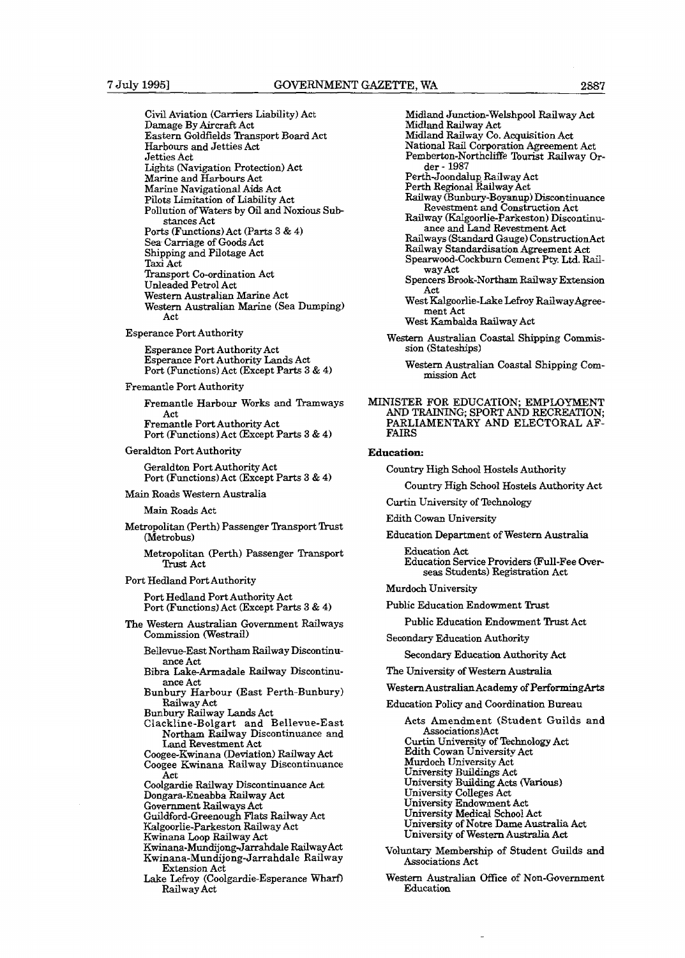Civil Aviation (Carriers Liability) Act Damage By Aircraft Act **Eastern** Goldfields Transport Board **Act**  Harbours and Jetties Act Jetties Act Lights (Navigation Protection) Act Marine and Harbours Act Marine Navigational **Aids** Act Pilots Limitation of Liability Act Pollution of Waters by Oil and Noxious Substances Act Ports (Functions) Act (Parts 3 & **4)**  Sea- Carriage of Goods Act Shipping and Pilotage Act **Taxi** Act Transport Co-ordination Act Unleaded Petrol Act Western Australian Marine Act Western Australian Marine (Sea Dumping) Act

Esperance Port Authority

Esperance Port Authority Act Esperance Port Authority Lands Act Port (Functions) Act (Except Parts 3 & 4)

Fremantle Port Authority

Fremantle Harbour Works and Tramways Act

Fremantle Port Authority Act Port (Functions) Act (Except Parts 3 & 4)

Geraldton Port Authority

Geraldton Port Authority Act Port (Functions) Act (Except Parts 3 & 4)

**Main** Roads Western Australia

Main Roads Act

Metropolitan (Perth) Passenger Transport Trust (Metrobus)

Metropolitan (Perth) Passenger Transport 'Ikust Act

Port Hedland Port Authority

Port Hedland Port Authority Act Port (Functions)Act (Except Parts 3 & 4)

The Western Australian Government Railways Commission (Westrail)

Bellevue-East Northam Railway Discontinuance Act

Bibra Lake-Armadale Railway Discontinuance Act

Bunbury Harbour (East Perth-Bunbury)

Railway Act Bunbury Railway Lands Act

Clackline-Bolgart and Bellevue-East Northam Railway Discontinuance and Land Revestment Act

- Coogee-Kwinana (Deviation) Railway Act Coogee Kwinana Railway Discontinuance
- Act

Coolgardie Railway Discontinuance Act Dongara-Eneabba Railway Act

Government Railways Act

Guildford-Greenough Flats Railway Act

KaIgoorlie-Parkeston Railway Act

Kwinana Loop Railway Act

- **Kwinana-Mundijong-Jmahdale** Railway Act
- Kwinana-Mundijong-Jarrahdale Railway Extension Act
- Lake Lefroy (Coolgardie-Esperance Wharf) Railway Act

Midland Junction-Welshpool Railway Act Midland Railway Act Midland Railway Co. Acquisition Act National RaiI Corporation Agreement Act Pemberton-Northcliffe Tourist Railway Order - 1987 PerthJoondalug Railway Act Perth Regional **&ailway** Act Railway (Bunbury-Boyanup) Discontinuance Revestment and Construction Act Railway (Kalgoorlie-Parkeston) Discontinuance and **Land** Revestment Act Railways (Standard Gauge) ConstructionAct Railway Standardisation Agreement Act Spearwood-Cockburn Cement **Pty. Ltd.** Railway Act Spencers Brook-Northam Railway Extension Act West Kalgoorlie-Lake Lefroy RaiwayAgreement Act West Kambalda Railway Act Western Australian Coastal Shipping Commission (Stateships) Western Australian Coastal Shipping Commission **Act**  MINISTER **FOR** EDUCATION; EMPLOYMENT AND TRALNING; SPORT AND **RECREATION;**  PARLIAMENTARY AND **ELECTORAL AF-**FAIRS **Education:**  Country High School Hostels Authority Country High School Hostels Authority Act Curtin University of Technology Edith Cowan University

Education Department of Western Australia

Education Act Education Service Providers (Full-Fee Overseas **Students)** Registration Act

Murdoch University

Public Education Endowment Trust

Public Education Endowment Trust Act

Secondary Education Authority

Secondary Education Authority Act

The University of Westem Australia

Western Australian Academy of **PerformingArts** 

Education Policy and Coordination Bureau

Acts Amendment **(Student** Guilds and Associations)Act Curtin University of Technology Act Edith Cowan University Act Murdoch University Act University Buildings Act University **Buildmg** Acts **(Various)**  University Colleges Act University Endowment Act University **Medical School Act**  University of Notre Dame Australia **Act**  University of Western Australia **Ad** 

- Voluntary Membership **of** Student Guilds and Associations Act
- Western Australian Office of Non-Government Education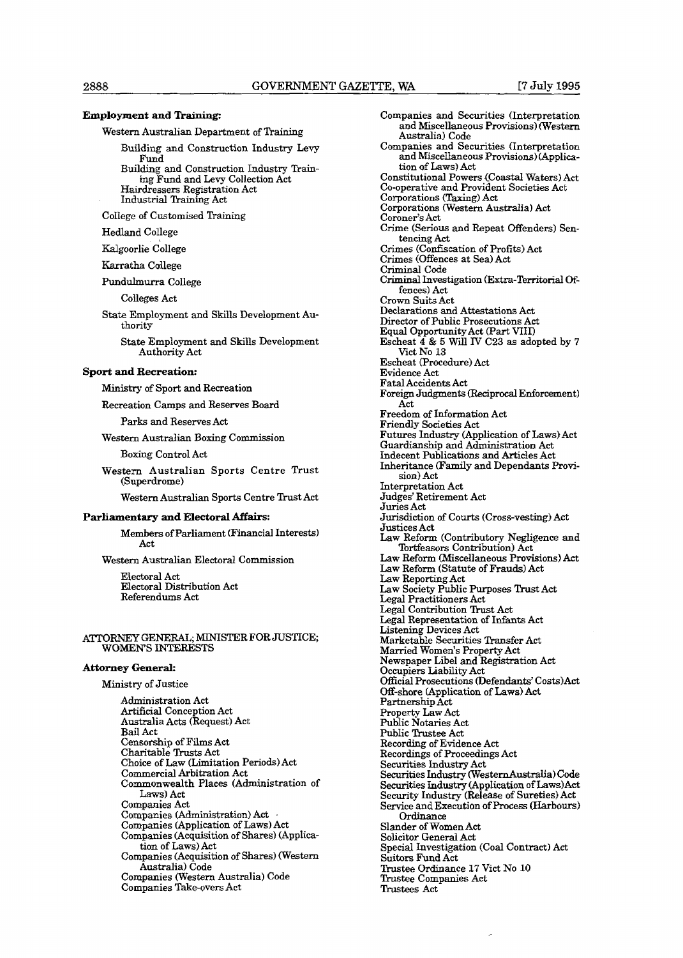### **Employment and Training:**

Western Australian Department of Training

Building and Construction Industry Levy  $\Gamma$ und Building and Construction Industry **Train**ing Fund and Levy Collection Act Hairdressers Registration Act Industrial Training Act

College of Customised Training

Hedland College

Kalgooriie college

#### Karratha College

Pundulmurra College

Colleges Act

State Employment and Skills Development Authority

State Employment and Skills Development Authority Act

#### **Sport and Recreation:**

Ministry of Sport and Recreation

Recreation Camps and Reserves Board

Parks and Reserves Act

Western Australian Boxing Commission

#### Boxing Control Act

Western Australian Sports Centre Trust (Superdrome)

Western Australian Sports Centre Trust Act

#### **Parliamentary and Electoral Affairs**

Members of Parliament (Financial Interests) Act

Western Australian Electoral Commission

Electoral Act Electoral Distribution Act Referendums Act

#### **ATTORNEY** GENERAL, MINISTER FOR JUSTICE; WOMEN'S INTERESTS

#### **Attorney General:**

Ministry of Justice

Administration Act Artificial Conception Act Australia Acts (Request) Act **Bail** Act Censorship **of** Films Act Charitable Trusts Act Choice of Law (Limitation Periods) Act Commercial Arbitration Act Commonwealth Places (Administration of Laws) Act Companies Act Companies (Administration) Act Companies (Application of Laws) Act Companies (Acquisition of Shares) (Application of Laws) Act Companies (Acquisition of Shares) Western Australia) Code Companies **(Western** Australia) **Code**  Companies Take-overs Act

Companies and Securities (Interpretation and Miscellaneous Provisions) Western Australia) Code Companies and Securities (Interpretation and MisceIlaneous Provisions) (Application of **Laws)** Act Constitutional Powers 4Coastal **Waters) Act**  Co-operative and Provident Societies Act Corporations **(Taxing)** Act Corporations Western **Australia)** Act Coroner's **Act Crime** (Serious **and** Repeat Offenders) Sentencing Act Crimes (Confiscation of Profib) Act Crimes (Offences at Sea) Act Criminal Code Criminal Investigation (Extra-Territorial **Of**fences) Act Crown Suits Act Declarations and Attestations Act Director of Public Prosecutions Act Equal Opportunity Act (Part VIII) Escheat 4 & 5 Will **IV** C23 as adopted by 7 Vict No 13 Escheat (Procedure) Act Evidence Act Fatal Accidents Act Foreign Judgments (Reciprocal Enforcement) Act Freedom of Information Act Friendly Societies Act Futures Industry (Application of Laws) Act Guardianship and Administration Act Indecent Publications and Articles Act Inheritance **(Family** and Dependants Provision) Act Interpretation Act Judges' Retirement Act Juries Act Jurisdiction of Courts (Cross-vesting) Act Justices **Act**  Law Reform (Contributory Negligence and Tortfeasors Contribution) Act Law Reform (Miscellaneous Provisions) Act Law Reform (Statute of Frauds) Act Law Reporting Act Law Society Public Purposes Trust Act Legal Practitioners Act Legal Contribution Trust Act Legal Representation of Infants Act Listening Devices Act Marketable Securities Transfer Act Married Women's Property **Act**  Newspaper Libel and Registration Act Occupiers Liability Act Official Prosecutions (Defendants' Costs)Act Off-shore (Application of Laws) Act Partnership Act Property **Law** Act Public Notaries Act Public Trustee Act Recording of Evidence Act Recordings of Proceedings Act Securities Industry Act Securities **Industry (WesternAustralia) Code**  Seaxities **fndustry** (Application of **LawsIAd**  Security Lndustrg **(Release** of Sureties) Act Service and Execution of Process **(Harbours)**  Ordinance Slander of Women Act Solicitor General **Act**  Special Investigation (Coal Contract) **Act**  Suitors **Fund** Act Trustee Ordinance 17 Vict No 10 Trustee Companies Act Trustees Act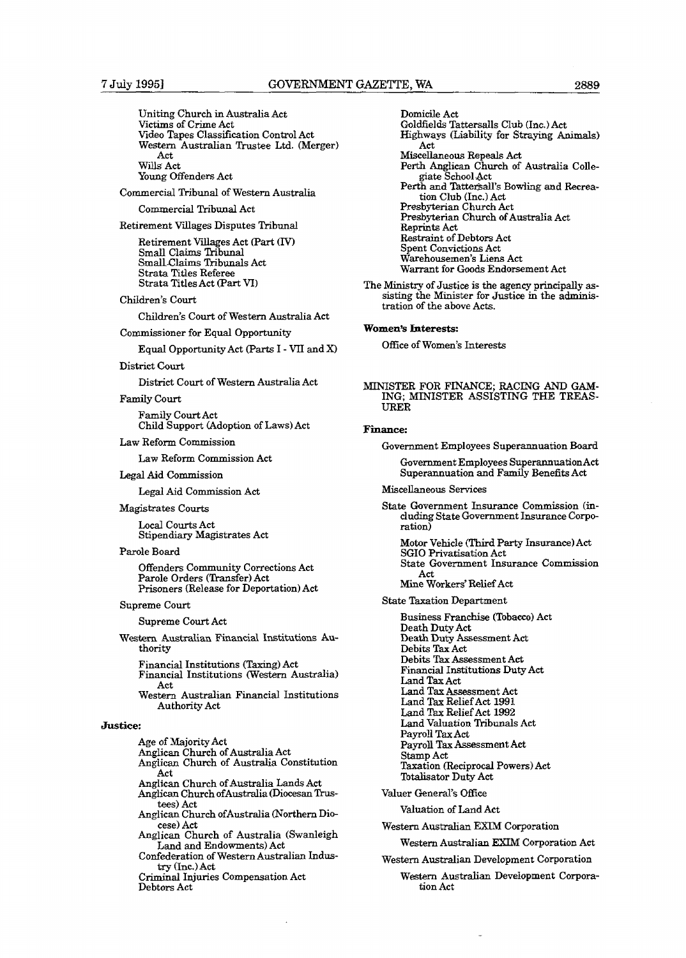Uniting Church in Australia Act Victims of Crime Act Video Tapes Classification Control Act Western Australian Trustee Ltd. (Merger) Act Wills Act Young Offenders Act

Commercial Tribunal of Western Australia

Commercial Tribunal Act

Retirement Villages Disputes Tribunal

Retirement Villages Act (Part **(TV)**  Small Claims Tribunal Small.Claims Tribunals Act Strata Titles Referee Strata Titles Act (Part VI)

Children's Court

Children's Court of Western Australia Act

Commissioner for Equal Opportunity

Equal Opportunity Act **(Parts** I - VII and **X)** 

#### District **Court**

District Court of Western Australia Act

Family Court

Family Court Act Child Support (Adoption of Laws) Act

Law Reform Commission

Law Reform Commission Act

#### **Legal** Aid Commission

**Legal** Aid Commission Act

Magistrates Courts

Local Courts Act Stipendiary Magistrates Act

#### Parole Board

Offenders Community Corrections Act Parole Orders (Transfer) Act Prisoners (Release for Deportation) Act

#### Supreme Court

Supreme Court Act

**Western** Australian Financial Institutions Authority

Financial Institutions (Taxing) Act Financial Institutions (Western Australia)

**Act** 

Western Australian Financial Institutions Authority Act

#### **Justice:**

Age of Majority Act

Anglican Church of Australia Act

- Anglican Church of Australia Constitution Act Anglican Church of Australia **Lands** Act
- Anglican Church ofAustralia (Diocesan Trustees) Act
- Anglican Church of Australia (Northern Diocese) Act

Anglican Church of Australia (Swanleigh Land and Endowments) Act

confederation of Western Australian **Industry** (Inc.) Act

Criminal Injuries Compensation Act Debtors Act

Domicile Act Goldfields Tattersalls **CIub** (Inc.) **Act**  Highways (Liability for **Straying Animals) Act**  Miscellaneous **liepeals** Act Perth **Anglican** Church of Australia Collegiate School Act Perth and Tattersall's Bowling and Recreation Club (Inc.) Act Presbyterian Church Act **~resb-\*rim Church** of Australia Act Reprints Act Restraint of Debtors Act Spent Convictions Act Warehousemen's Liens Act Warrant for Goods Endorsement Act

The Ministry of Justice is the agency principally assisting the Minister for Justice in the administration of the above Acts.

#### **Women's** Interests:

Oflice of Women's Interests

MINISTER FOR FINANCE; RACING AND GAM-ING; MINISTER ASSISTING THE TREAS-URER

#### Finance:

Government Employees Superannuation **Board** 

Government Employees SuperannuationAct Superannuation and Family Benefits Act

MiscelIaneous Services

State Government Insurance Commission (including State Government Insurance Corporation)

Motor Vehicle (Third Party Insurance) Act SGIO Privatisation Act State Government Insurance Commission Act Mine **Workers'** Relief Act

State Taxation Department

Business **Franchise** (Tobacco) Act Death **Duty** Act Death **Duty** Assessment Act Debits Tax Act Debits **Tax** Assessment Act Financial Institutions Duty **Act**  Land Tax Act **Land** Tax Assessment Act Land Tax Relief Act 1991 Land Tax Relief Act 1992 Land Valuation Tribunals Act **Payroll** TaxAct Payroll Tax Assessment **Act**  Stamp Act Taxation (Reciprocal Powers) Act Totalisator Duty Act

Valuer General's **Office** 

#### Valuation of Land Act

Western Australian EXUM Corporation

Western Australian EXIM Corporation Act

Western Australian Development Corporation

Western Australian Development Corporation Act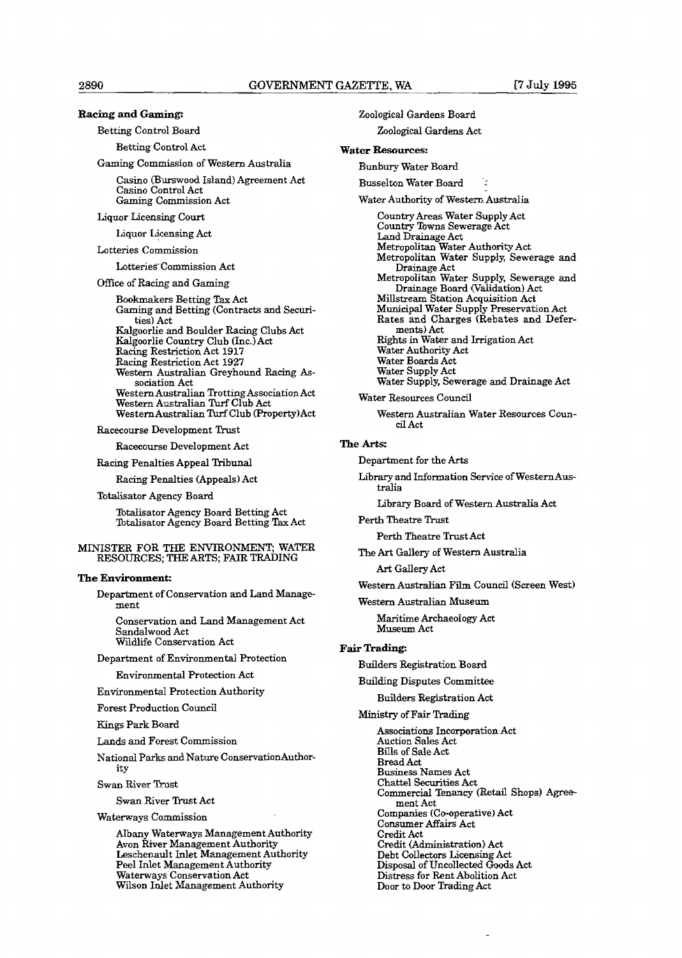#### *Racing* **and Gaming**

Betting Control Board

Betting Control Act

#### **Gaming** Commission of Western Australia

Casino (Burswood Island) Agreement Act Casino Control Act **Earning** Commission Act

#### Liquor Licensing Court

Liquor Licensing Act

#### Lotteries Commission

Lotteries<sup>-</sup>Commission Act

Ofice of Racing and Gaming

Bookmakers Betting Tax Act Gaming and Betting (Contracts and Securities) Act Kalgoorlie and Boulder Racing Clubs Act Kalgoorlie Country Club (Inc.) Act **Racing** Restriction Act 1917 Racing Restriction Act 1927 Western Australian Greyhound **Racing** Association Act Western Australian TrottingAssociation Act Western Australian Turf Club Act WesternAustralian Turf Club (Property)Act

Racecourse Development Trust

Racecourse Development Act

Racing Penalties Appeal Tribunal

**Racing** Penalties (Appeals) Act

Totalisator Agency Board

Totalisator Agency Board Betting Act 'Ibtalisator Agency Board Betting Tax Act

#### MINISTER FOR THE ENVIRONMENT; WATER RESOURCES; THE ARTS; **FAIR** TRADING

#### **The Environment:**

Department of Conservation and Land Management

Conservation and Land Management Act Sandalwood Act Wildlife Conservation Act

Department of Environmental Protection

Environmental Protection Act

Environmental Protection Authority

Forest Production Council

Kings Park Board

Lands and Forest Commission

National Parks **and** Nature ConservationAuthority

Swan River **Trust** 

#### **Swan River Trust Act**

Waterways Commission

Albany Waterways Management Authority Leschenault Inlet Management Authority Peel Inlet Management Authority Waterways Conservation Act Wilson Inlet Management Authority

Zoological Gardens Board

Zoological Gardens Act

#### **Water Resources:**

Bunbury Water Board

Busselton Water Board

Water Authority of Western Australia

Country Areas Water Supply Act Country Tbwns Sewerage Act Land Drainage **Act**  Metropolitan Water Authority Act Metropolitan Water Supply, Sewerage and Drainage Act Metropolitan Water Supply, Sewerage and Drainage Board (Validation) Act Millstream Station Acquisition Act Municipal Water Supply Preservation **Act**  Rates and Charges (Rebates and Deferments) Act Rights in Water and Irrigation **Act**  Water Authority Act Water Boards Act Water Supply Act Water Supply, Sewerage and Drainage **Act** 

Water Resources Council

Western Australian Water Resources Council Act

#### **The** *Arts:*

Department for the Arts

Library and Information Service of Western Australia

Library Board of Western Australia Act

Perth Theatre Trust

Perth Theatre Trust Act

The Art Gallery of Western Australia

Art Gallery Act

Western Australian Film Council (Screen West)

Western Australian Museum

Maritime Archaeology Act Museum Act

#### **Fair Trading:**

Builders Registration Board

Building Disputes Committee

Builders Registration Act

#### Ministry ofFair Trading

Associations Incorporation Act Auction Sales Act **BiUs** of Sale Act Bread Act Business Names Act **Chattel** Securities Act Commercial Tenancy *(Retail Shops)* Agreement Act Companies (Co-operative) Act Consumer Affairs Act Credit Act Credit (Administration) Act Debt Collectors Licensing Act Disposal of Uncollected **Goods** Act Distress for Rent Abolition Act Door to Door Trading Act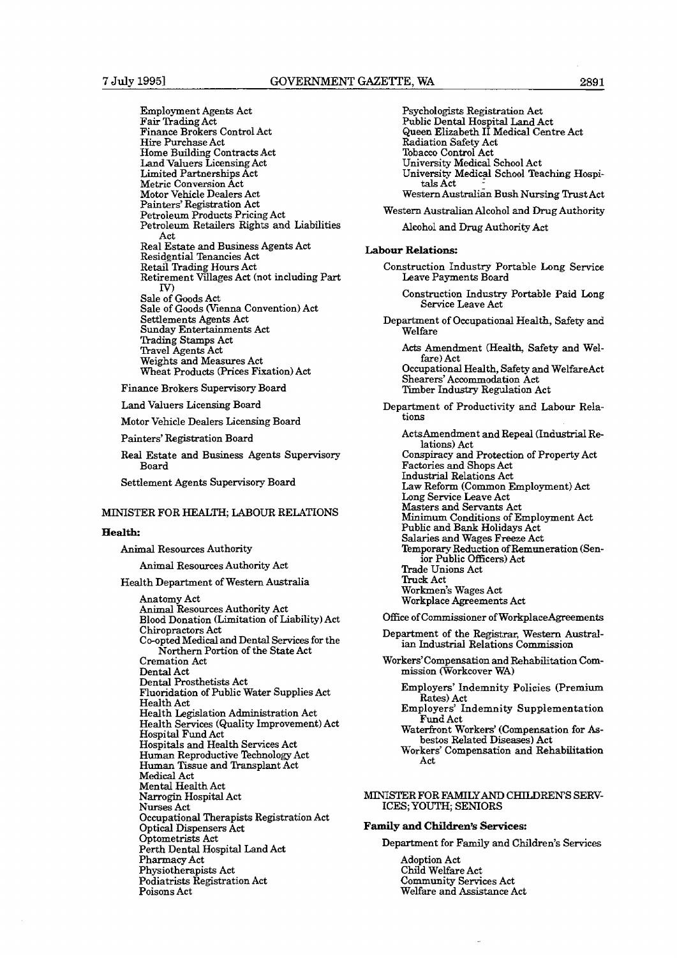Employment Agents Act Fair Trading Act Finance Brokers Control Act Hire Purchase Act Home Building Contracts Act **Land** Valuers Licensing Act Limited Partnerships Act Metric Conversion Act Motor Vehicle Dealers Act Painters' Registration Act Petroleum Products Pricing Act Petroleum Retailers Rights and Liabilities Act Real Estate and Business Agents Act Residential Tenancies Act Retail Trading Hours Act Retirement Villages Act (not including Part  $\mathbf{IV}_{\alpha}$ Sale of Goods Act Sale of Goods (Vienna Convention) Act Settlements Agents Act Sunday Entertainments Act Trading Stamps Act Travel Agents Act Weights and Measures Act Wheat Products (Prices Fixation) Act

Finance Brokers Supervisory Board

Land Valuers Licensing Board

Motor Vehicle Dealers Licensing Board

Painters' Registration Board

Real Estate and Business Agents Supervisory Board

Settlement Agents Supervisory Board

#### MINISTER FOR HEALTH; LABOUR RELATIONS

#### **Health:**

Animal Resources Authority

Animal Resources Authority Act

Health Department of Western Australia

Anatomy Act Animal Resources Authority Act Blood Donation (Limitation of Liability) Act Chiropractors Act Co-opted Medical and Dental Services for the Northern Portion of the State Act Cremation Act Dental Act Dental Prosthetists Act Fluoridation of Public Water Supplies Act Health Act Health Legislation Administration Act Health Services (Quality Improvement) Act Hospital Fund Act Hospitals and Health Services Act Human Reproductive Technology Act Human Tissue and Transplant Act Medical Act Mental Health Act Narrogin Hospital Act Nurses Act Occupational Therapists Registration Act Optical Dispensers Act Optometrists Act Perth Dental Hospital Land Act Pharmacy Act Physiotherapists Act Podiatrists Registration Act Poisons Act

Psychologists Registration Act Public Dental Hospital **Land** Act Queen Elizabeth **I1** Medical **Centre Act**  Radiation Safety **Act**  Tobacco Control Act University Medical School Act University Medical School Teaching Hospitals Act WesternAustrdi& Bush **Nursing** Trust Act Western Australian Alcohol and Drug Authority Alcohol and **Drug** Authority Act **Labour Relations:**  Construction Industry Portable Long Service Leave Payments Board Construction Industry Portable Paid Long Service Leave Act Department of Occupational Health, Safety **and**  Welfare Acts Amendment (Health, Safety and Welfare) Act Occupational Health, Safety and WelfareAct Shearers' Accommodation Act Timber Industry Regulation Act Department of Productivity and Labour Relations ActsAmendment **and** Repeal (Industrial Relations) Act Conspiracy and Protection of Property Act Factories and Shops Act Industrial Relations Act Law Reform (Common Employment) Act Long Service Leave Act Masters and Servants Act **Minimum** Conditions of Employment Act Public and Bank Holidays Act Salaries and **Wages** Freeze Act Temporary Reduction of Remuneration (Senior Public Officers) Act Trade Unions Act Truck Act Workmen's Wages Act Workplace Agreements Act Office of Commissioner of WorkplaceAgreements Department of the Registrar, Western Australian Industrial Relations Commission Workers' Compensation and Rehabilitation Commission (Workcover WA) Employers' Indemnity Policies (Premium Rates) Act Employers' Indemnity Supplementation **Fund** Act Waterfront Workers' (Compensation for Asbestos Related Diseases) Act

Workers' Compensation and Rehabilitation Act

#### MINISTER FOR FAMILYAND CHILDREN'S SERV-ICES; YOUTH; SENIORS

#### **Family and Children's Services:**

Department for **Family** and Children's Services

Adoption Act Child Welfare Act Community Services **Act**  Welfare and Assistance Act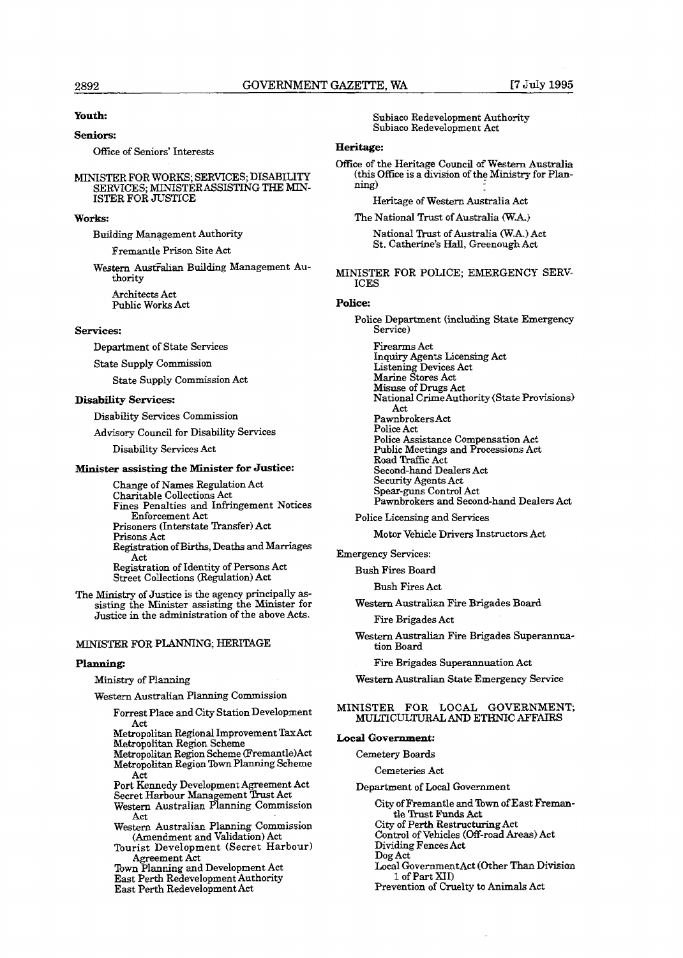### **Youth: Seniors:**

Ofice of Seniors' Interests

#### MINISTER FOR WORKS; SERVICES; DISGBILITY SERVICES; MINISTER ASSISTING THE MIN-ISTER **FOR** JUSTLCE

#### Works:

Building Management Authority

Fremantle Prison Site Act

Western Austfalian Building Management Authority

Architects Act Public Works Act

#### **Services:**

Department of State Services

State Supply Commission

State Supply Commission Act

#### **Disability Services:**

Disability Services Commission

Advisory Council for Disability Services

Disability Services Act

#### **Mhister assisting the Minister for Justice:**

Change of Names Regulation Act Charitable Collections Act Fines Penalties and Infringement Notices Enforcement Act Prisoners (Interstate Transfer) Act Prisons Act Registration of **Births,** Deaths and Marriages Act Registration of Identity of Persons Act Street Collections (Regulation) Act

The Ministry of Justice is the agency principally assisting the Minister assisting the Minister for Justice in the administration of the above Acts.

#### MINISTER FOR PLANNING; HERITAGE

#### Planning:

Ministry of Planning

Western Australian Planning Commission

Forrest Place and City Station Development Act

Metropolitan Regional Improvement TaxAct Metropolitan Region Scheme

Metropolitan Region Scheme (Fremant1e)Act Metropolitan Region Town Planning Scheme Act

Port Kennedy Development Agreement Act Secret Harbour Management Trust Act Western Australian Planning Commission

Act

Western Australian Planning Commission (Amendment and Validation) Act

Tourist Development (Secret Harbour) Agreement Act

Tbwn Planning and Development Act **East** Perth Redevelopment Authority

East **Perth** Redevelopment Act

Subiaco Redevelopment Authority Subiaco Redevelopment Act

#### **Heritage:**

**Office** of the Heritage Council of **Western Australia**  (this Office is **a** division **of** the **Ministry** for Planning)

Heritage of **Western** Australia Act

The National Trust of Australia (W.A.)

National Trust of Australia (W.A.) Act St. Catherine's Hall, Greenough Act

MINISTER FOR POLICE; EMERGENCY SERV-ICES

#### **Police:**

Police Department (including State Emergency Service) Firearms Act

Inquiry Agents **Licensing** Act Listening Devices Act Marine Stores Act Misuse of Drugs Act National CrimeAuthority (State Provisions) Act Pawnbrokers Act Police Act Police Assistance Compensation Act Public Meetings and Processions Act Road Traffic Act Second-hand Dealers Act Security Agents Act Spear-guns Control Act Pawnbrokers and Second-hand Dealers **Act** 

Police Licensing and Services

Motor Vehicle Drivers Instructors Act

Emergency Services:

Bush Fires Board

**Bush** Fires Act

Western Australian Fire Brigades Board

E'ire Brigades Act

Western Australian Fire Brigades Superannuation Board

Fire Brigades Superannuation Act

**Western** Australian State Emergency Sewice

#### MINISTER FOR LOCAL GOVERNMENT; MULTICULTURAL AND ETHNIC AFFAIRS

#### **Local Government:**

Cemetery Boards

Cemeteries **Act** 

Department of Local Government

City ofFremantle and %m **ofEast Fremantle** Tmst **Funds Act** 

City of Perth Restructuring Act

Control of Vehicles (Off-road Areas) Act

Dividing Fences Act

Dog Act

Local GovemmentAct {Other **Than** Division 1 of **Part XII**)

Prevention of Cruelty to Animals Act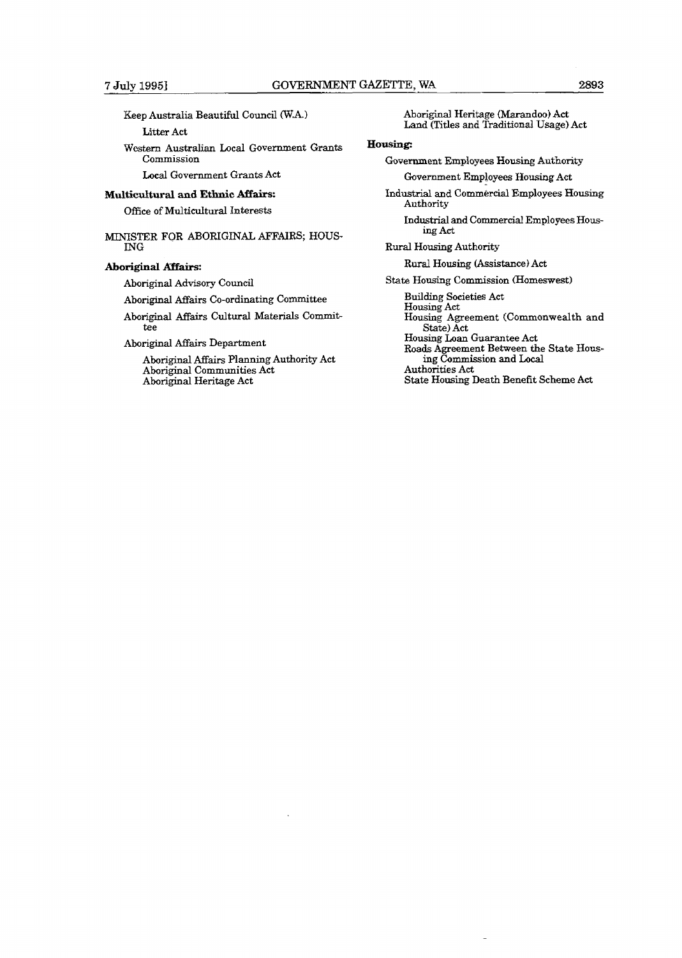Keep Australia Beautiful Council (W.A.)

#### Litter Act

Western Australian Local Government Grants Commission

Local Government Grants Act

#### **Multicultural and Ethnic Affairs:**

Office of Multicultural Interests

MINISTER FOR ABORIGINAZ, **AFFMRS;** HOUS-**ING** 

### **Aboriginal MFairs:**

Aboriginal Advisory Council

Aboriginal Affairs Co-ordinating Committee

Aboriginal Affairs Cultural Materials Committee

Aboriginal Affairs Department

Aboriginal Affairs Planning Authority Act Aboriginal Communities Act Aboriginal Heritage Act

Aborigmal Heritage (hhandoo) **Act Land** (Titles **and** Traditional Usage) Act

### Housing:

Government Employees Housing Authority Gvernment Employees Housing Act

Industrial **and** Commercial Employees Housing Authority

**Industrial** and Commercial Employees Hous**ing** Ad

**Rural** Housing Authority

Rural Housing **(Assistance)** Act

**State** Housing Commission (Homeswest)

**Building** Societies Act Housing Act Housing Agreement (Commonwealth and **State)** Act Housing Loan Guarantee Act **Roads** Agreement Between the **State** Housing Commission and Local Authorities Act State Housing Death Benefit Scheme Act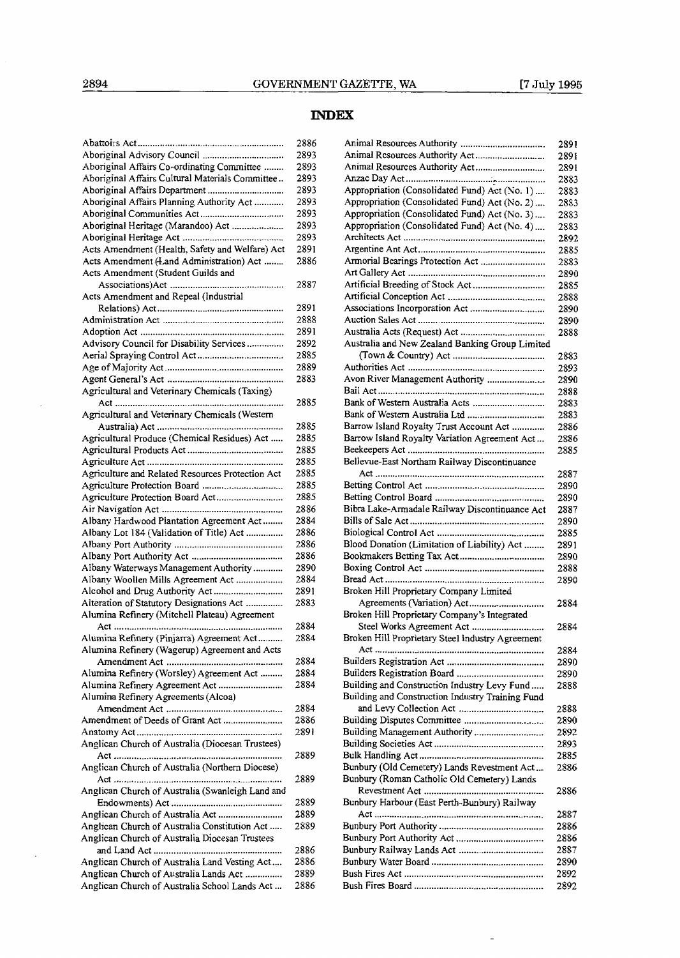$\bar{\mathcal{A}}$ 

 $\ddot{\phantom{a}}$ 

## INDEX

|                                                  | 2886 |
|--------------------------------------------------|------|
| Aboriginal Advisory Council                      | 2893 |
| Aboriginal Affairs Co-ordinating Committee       | 2893 |
| Aboriginal Affairs Cultural Materials Committee  | 2893 |
| Aboriginal Affairs Department                    | 2893 |
| Aboriginal Affairs Planning Authority Act        | 2893 |
|                                                  | 2893 |
| Aboriginal Heritage (Marandoo) Act               | 2893 |
|                                                  | 2893 |
| Acts Amendment (Health, Safety and Welfare) Act  | 2891 |
| Acts Amendment (Land Administration) Act         | 2886 |
| Acts Amendment (Student Guilds and               |      |
|                                                  | 2887 |
| Acts Amendment and Repeal (Industrial            |      |
|                                                  | 2891 |
|                                                  | 2888 |
|                                                  | 2891 |
| Advisory Council for Disability Services         | 2892 |
|                                                  | 2885 |
|                                                  | 2889 |
|                                                  | 2883 |
| Agricultural and Veterinary Chemicals (Taxing)   |      |
| Act                                              | 2885 |
| Agricultural and Veterinary Chemicals (Western   |      |
|                                                  | 2885 |
| Agricultural Produce (Chemical Residues) Act     | 2885 |
|                                                  |      |
|                                                  | 2885 |
|                                                  | 2885 |
| Agriculture and Related Resources Protection Act | 2885 |
|                                                  | 2885 |
| Agriculture Protection Board Act                 | 2885 |
|                                                  | 2886 |
| Albany Hardwood Plantation Agreement Act         | 2884 |
| Albany Lot 184 (Validation of Title) Act         | 2886 |
|                                                  | 2886 |
|                                                  | 2886 |
| Albany Waterways Management Authority            | 2890 |
| Albany Woollen Mills Agreement Act               | 2884 |
|                                                  | 2891 |
| Alteration of Statutory Designations Act         | 2883 |
| Alumina Refinery (Mitchell Plateau) Agreement    |      |
|                                                  | 2884 |
| Alumina Refinery (Pinjarra) Agreement Act        | 2884 |
| Alumina Refinery (Wagerup) Agreement and Acts    |      |
|                                                  | 2884 |
| Alumina Refinery (Worsley) Agreement Act         | 2884 |
| Alumina Refinery Agreement Act                   | 2884 |
| Alumina Refinery Agreements (Alcoa)              |      |
|                                                  | 2884 |
| Amendment of Deeds of Grant Act                  | 2886 |
|                                                  | 2891 |
| Anglican Church of Australia (Diocesan Trustees) |      |
|                                                  | 2889 |
| Anglican Church of Australia (Northern Diocese)  |      |
|                                                  | 2889 |
| Anglican Church of Australia (Swanleigh Land and |      |
|                                                  | 2889 |
| Anglican Church of Australia Act                 | 2889 |
| Anglican Church of Australia Constitution Act    | 2889 |
| Anglican Church of Australia Diocesan Trustees   |      |
|                                                  | 2886 |
| Anglican Church of Australia Land Vesting Act    | 2886 |
| Anglican Church of Australia Lands Act           | 2889 |
| Anglican Church of Australia School Lands Act    | 2886 |
|                                                  |      |

|                                                                           | 2891         |
|---------------------------------------------------------------------------|--------------|
| Animal Resources Authority Act                                            | 2891         |
| Animal Resources Authority Act                                            | 2891         |
|                                                                           | 2883         |
| Appropriation (Consolidated Fund) Act (No. 1)                             | 2883         |
| Appropriation (Consolidated Fund) Act (No. 2)                             | 2883         |
| Appropriation (Consolidated Fund) Act (No. 3)                             | 2883         |
| Appropriation (Consolidated Fund) Act (No. 4)                             | 2883         |
|                                                                           | 2892         |
|                                                                           | 2885         |
| Armorial Bearings Protection Act                                          | 2883         |
|                                                                           | 2890         |
| Artificial Breeding of Stock Act                                          | 2885         |
|                                                                           | 2888         |
|                                                                           | 2890         |
|                                                                           | 2890         |
|                                                                           | 2888         |
| Australia and New Zealand Banking Group Limited                           |              |
|                                                                           | 2883         |
|                                                                           | 2893         |
| Avon River Management Authority                                           | 2890         |
|                                                                           | 2888         |
|                                                                           | 2883         |
|                                                                           | 2883         |
| Barrow Island Royalty Trust Account Act                                   | 2886         |
| Barrow Island Royalty Variation Agreement Act                             | 2886         |
|                                                                           | 2885         |
| Bellevue-East Northam Railway Discontinuance                              |              |
|                                                                           | 2887         |
|                                                                           | 2890         |
|                                                                           | 2890         |
| Bibra Lake-Armadale Railway Discontinuance Act                            | 2887         |
|                                                                           | 2890         |
|                                                                           | 2885         |
| Blood Donation (Limitation of Liability) Act                              | 2891         |
|                                                                           | 2890         |
|                                                                           | 2888         |
|                                                                           | 2890         |
| Broken Hill Proprietary Company Limited                                   |              |
| Agreements (Variation) Act                                                | 2884         |
| Broken Hill Proprietary Company's Integrated<br>Steel Works Agreement Act |              |
| Broken Hill Proprietary Steel Industry Agreement                          | 2884         |
|                                                                           |              |
|                                                                           | 2884<br>2890 |
|                                                                           |              |
| Building and Construction Industry Levy Fund                              | 2890         |
| Building and Construction Industry Training Fund                          | 2888         |
|                                                                           | 2888         |
| Building Disputes Committee                                               | 2890         |
| Building Management Authority                                             | 2892         |
|                                                                           | 2893         |
|                                                                           | 2885         |
| Bunbury (Old Cemetery) Lands Revestment Act                               | 2886         |
| Bunbury (Roman Catholic Old Cemetery) Lands                               |              |
|                                                                           | 2886         |
| Bunbury Harbour (East Perth-Bunbury) Railway                              |              |
|                                                                           | 2887         |
|                                                                           | 2886         |
|                                                                           | 2886         |
|                                                                           | 2887         |
|                                                                           |              |
|                                                                           |              |
|                                                                           | 2890         |
|                                                                           | 2892<br>2892 |

 $\mathbb{Z}$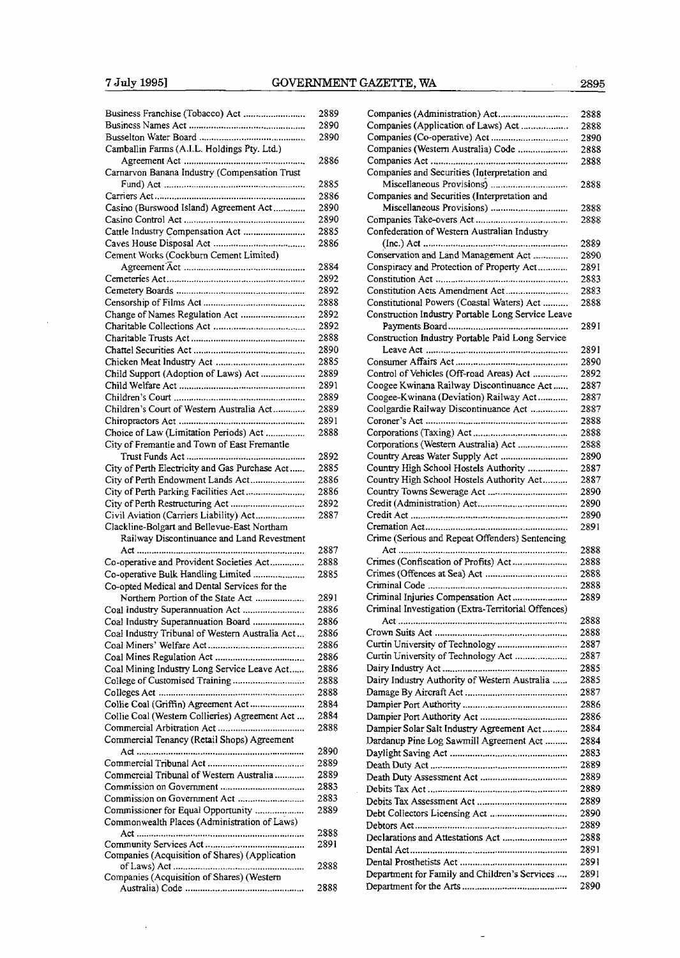$\frac{1}{2}$ 

|                                                 | 2889 |
|-------------------------------------------------|------|
| Business Franchise (Tobacco) Act                | 2890 |
|                                                 | 2890 |
| Camballin Farms (A.I.L. Holdings Pty. Ltd.)     |      |
|                                                 | 2886 |
|                                                 |      |
| Carnarvon Banana Industry (Compensation Trust   |      |
|                                                 | 2885 |
|                                                 | 2886 |
| Casino (Burswood Island) Agreement Act          | 2890 |
|                                                 | 2890 |
| Cattle Industry Compensation Act                | 2885 |
|                                                 | 2886 |
| Cement Works (Cockburn Cement Limited)          |      |
|                                                 | 2884 |
|                                                 | 2892 |
|                                                 | 2892 |
|                                                 |      |
|                                                 | 2888 |
| Change of Names Regulation Act                  | 2892 |
|                                                 | 2892 |
|                                                 | 2888 |
|                                                 | 2890 |
|                                                 | 2885 |
| Child Support (Adoption of Laws) Act            | 2889 |
|                                                 | 2891 |
|                                                 | 2889 |
| Children's Court of Western Australia Act       | 2889 |
|                                                 |      |
|                                                 | 2891 |
| Choice of Law (Limitation Periods) Act          | 2888 |
| City of Fremantle and Town of East Fremantle    |      |
|                                                 | 2892 |
| City of Perth Electricity and Gas Purchase Act  | 2885 |
| City of Perth Endowment Lands Act               | 2886 |
| City of Perth Parking Facilities Act            | 2886 |
| City of Perth Restructuring Act                 | 2892 |
| Civil Aviation (Carriers Liability) Act         | 2887 |
| Clackline-Bolgart and Bellevue-East Northam     |      |
| Railway Discontinuance and Land Revestment      |      |
| Act                                             |      |
|                                                 |      |
|                                                 | 2887 |
| Co-operative and Provident Societies Act        | 2888 |
| Co-operative Bulk Handling Limited              | 2885 |
| Co-opted Medical and Dental Services for the    |      |
| Northern Portion of the State Act               | 2891 |
| Coal Industry Superannuation Act                | 2886 |
|                                                 | 2886 |
| Coal Industry Superannuation Board              |      |
| Coal Industry Tribunal of Western Australia Act | 2886 |
|                                                 | 2886 |
|                                                 | 2886 |
| Coal Mining Industry Long Service Leave Act     | 2886 |
| College of Customised Training                  | 2888 |
|                                                 | 2888 |
| Collie Coal (Griffin) Agreement Act             | 2884 |
| Collie Coal (Western Collieries) Agreement Act  | 2884 |
|                                                 | 2888 |
|                                                 |      |
| Commercial Tenancy (Retail Shops) Agreement     | 2890 |
|                                                 |      |
|                                                 | 2889 |
| Commercial Tribunal of Western Australia        | 2889 |
|                                                 | 2883 |
|                                                 | 2883 |
| Commissioner for Equal Opportunity              | 2889 |
| Commonwealth Places (Administration of Laws)    |      |
|                                                 | 2888 |
|                                                 | 2891 |
| Companies (Acquisition of Shares) (Application  |      |
|                                                 | 2888 |
| Companies (Acquisition of Shares) (Western      | 2888 |

 $\hat{\mathcal{E}}$ 

| Companies (Administration) Act                      | 2888 |
|-----------------------------------------------------|------|
| Companies (Application of Laws) Act                 | 2888 |
| Companies (Co-operative) Act                        | 2890 |
| Companies (Western Australia) Code                  | 2888 |
|                                                     | 2888 |
| Companies and Securities (Interpretation and        |      |
| Miscellaneous Provisions)                           | 2888 |
| Companies and Securities (Interpretation and        |      |
| Miscellaneous Provisions)                           | 2888 |
|                                                     | 2888 |
| Confederation of Western Australian Industry        |      |
|                                                     | 2889 |
|                                                     |      |
| Conservation and Land Management Act                | 2890 |
| Conspiracy and Protection of Property Act           | 2891 |
|                                                     | 2883 |
| Constitution Acts Amendment Act                     | 2883 |
| Constitutional Powers (Coastal Waters) Act          | 2888 |
| Construction Industry Portable Long Service Leave   |      |
|                                                     | 2891 |
| Construction Industry Portable Paid Long Service    |      |
|                                                     | 2891 |
|                                                     | 2890 |
| Control of Vehicles (Off-road Areas) Act            | 2892 |
| Coogee Kwinana Railway Discontinuance Act           | 2887 |
| Coogee-Kwinana (Deviation) Railway Act              | 2887 |
| Coolgardie Railway Discontinuance Act               | 2887 |
|                                                     | 2888 |
|                                                     | 2888 |
| Corporations (Western Australia) Act                | 2888 |
|                                                     |      |
| Country Areas Water Supply Act                      | 2890 |
| Country High School Hostels Authority               | 2887 |
| Country High School Hostels Authority Act           | 2887 |
| Country Towns Sewerage Act                          | 2890 |
|                                                     | 2890 |
|                                                     | 2890 |
|                                                     | 2891 |
| Crime (Serious and Repeat Offenders) Sentencing     |      |
|                                                     | 2888 |
| Crimes (Confiscation of Profits) Act                | 2888 |
|                                                     | 2888 |
|                                                     | 2888 |
| Criminal Injuries Compensation Act                  | 2889 |
| Criminal Investigation (Extra-Territorial Offences) |      |
|                                                     | 2888 |
|                                                     | 2888 |
| Curtin University of Technology                     | 2887 |
| Curtin University of Technology Act                 | 2887 |
|                                                     | 2885 |
| Dairy Industry Authority of Western Australia       | 2885 |
|                                                     | 2887 |
|                                                     |      |
|                                                     | 2886 |
|                                                     | 2886 |
| Dampier Solar Salt Industry Agreement Act           | 2884 |
| Dardanup Pine Log Sawmill Agreement Act             | 2884 |
|                                                     | 2883 |
|                                                     | 2889 |
|                                                     | 2889 |
|                                                     | 2889 |
|                                                     | 2889 |
|                                                     | 2890 |
|                                                     | 2889 |
|                                                     | 2888 |
|                                                     | 2891 |
|                                                     |      |
|                                                     | 2891 |
| Department for Family and Children's Services       | 2891 |
|                                                     | 2890 |

 $\overline{a}$ 

 $\mathcal{L}$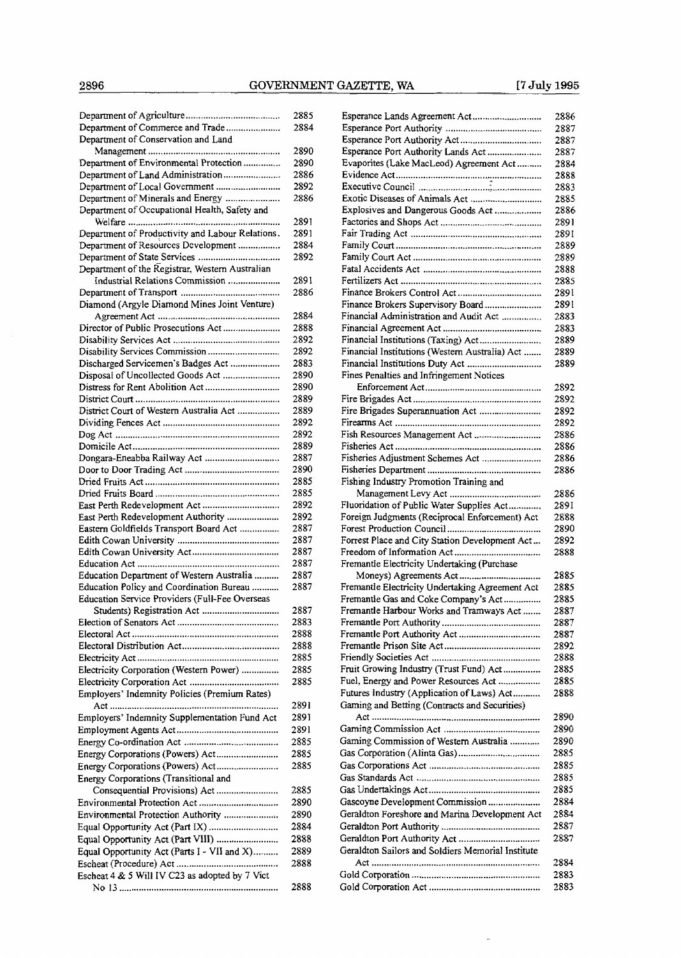|                                                  | 2885 |
|--------------------------------------------------|------|
| Department of Commerce and Trade                 | 2884 |
|                                                  |      |
| Department of Conservation and Land              |      |
|                                                  | 2890 |
| Department of Environmental Protection           | 2890 |
| Department of Land Administration                | 2886 |
| Department of Local Government                   | 2892 |
| Department of Minerals and Energy                | 2886 |
| Department of Occupational Health, Safety and    |      |
|                                                  | 2891 |
| Department of Productivity and Labour Relations. | 2891 |
| Department of Resources Development              | 2884 |
|                                                  | 2892 |
| Department of the Registrar, Western Australian  |      |
|                                                  |      |
| Industrial Relations Commission                  | 2891 |
|                                                  | 2886 |
| Diamond (Argyle Diamond Mines Joint Venture)     |      |
|                                                  | 2884 |
| Director of Public Prosecutions Act              | 2888 |
|                                                  | 2892 |
| Disability Services Commission                   | 2892 |
| Discharged Servicemen's Badges Act               | 2883 |
| Disposal of Uncollected Goods Act                | 2890 |
|                                                  | 2890 |
| Distress for Rent Abolition Act                  |      |
|                                                  | 2889 |
| District Court of Western Australia Act          | 2889 |
|                                                  | 2892 |
|                                                  | 2892 |
|                                                  | 2889 |
| Dongara-Eneabba Railway Act                      | 2887 |
|                                                  | 2890 |
|                                                  | 2885 |
|                                                  | 2885 |
|                                                  | 2892 |
| East Perth Redevelopment Act                     |      |
| East Perth Redevelopment Authority               | 2892 |
| Eastern Goldfields Transport Board Act           | 2887 |
|                                                  | 2887 |
|                                                  | 2887 |
|                                                  | 2887 |
| Education Department of Western Australia        | 2887 |
| Education Policy and Coordination Bureau         | 2887 |
| Education Service Providers (Full-Fee Overseas   |      |
| Students) Registration Act                       | 2887 |
|                                                  | 2883 |
|                                                  | 2888 |
|                                                  |      |
|                                                  | 2888 |
|                                                  | 2885 |
| Electricity Corporation (Western Power)          | 2885 |
|                                                  | 2885 |
| Employers' Indemnity Policies (Premium Rates)    |      |
|                                                  | 2891 |
| Employers' Indemnity Supplementation Fund Act    | 2891 |
|                                                  | 2891 |
|                                                  |      |
|                                                  | 2885 |
| Energy Corporations (Powers) Act                 | 2885 |
| Energy Corporations (Powers) Act                 | 2885 |
| Energy Corporations (Transitional and            |      |
| Consequential Provisions) Act                    | 2885 |
| Environmental Protection Act                     | 2890 |
| Environmental Protection Authority               | 2890 |
| Equal Opportunity Act (Part IX)                  | 2884 |
|                                                  |      |
| Equal Opportunity Act (Part VIII)                | 2888 |
| Equal Opportunity Act (Parts I - VII and X)      | 2889 |
|                                                  | 2888 |
| Escheat 4 & 5 Will IV C23 as adopted by 7 Vict   |      |
|                                                  | 2888 |

| Esperance Lands Agreement Act                     | 2336 |
|---------------------------------------------------|------|
|                                                   | 2887 |
|                                                   | 2887 |
| Esperance Port Authority Lands Act                | 2887 |
| Evaporites (Lake MacLeod) Agreement Act           | 2884 |
|                                                   | 2888 |
|                                                   | 2883 |
|                                                   | 2885 |
|                                                   | 2886 |
| Explosives and Dangerous Goods Act                |      |
|                                                   | 2891 |
|                                                   | 2891 |
|                                                   | 2889 |
|                                                   | 2889 |
|                                                   | 2888 |
|                                                   | 2885 |
|                                                   | 2891 |
| Finance Brokers Supervisory Board                 | 2891 |
| Financial Administration and Audit Act            | 2883 |
|                                                   | 2883 |
|                                                   | 2889 |
| Financial Institutions (Western Australia) Act    | 2889 |
| Financial Institutions Duty Act                   | 2889 |
|                                                   |      |
| Fines Penalties and Infringement Notices          |      |
|                                                   | 2892 |
|                                                   | 2892 |
| Fire Brigades Superannuation Act                  | 2892 |
|                                                   | 2892 |
| Fish Resources Management Act                     | 2886 |
|                                                   | 2886 |
| Fisheries Adjustment Schemes Act                  | 2886 |
|                                                   | 2886 |
| Fishing Industry Promotion Training and           |      |
|                                                   | 2886 |
| Fluoridation of Public Water Supplies Act         | 2891 |
|                                                   |      |
| Foreign Judgments (Reciprocal Enforcement) Act    | 2888 |
|                                                   | 2890 |
| Forrest Place and City Station Development Act    | 2892 |
|                                                   | 2888 |
| Fremantle Electricity Undertaking (Purchase       |      |
|                                                   | 2885 |
| Fremantle Electricity Undertaking Agreement Act   | 2885 |
| Fremantle Gas and Coke Company's Act              | 2885 |
| Fremantle Harbour Works and Tramways Act          | 2887 |
|                                                   | 2887 |
|                                                   | 2887 |
|                                                   | 2892 |
|                                                   | 2888 |
| Fruit Growing Industry (Trust Fund) Act           | 2885 |
| Fuel, Energy and Power Resources Act              | 2885 |
|                                                   |      |
| Futures Industry (Application of Laws) Act        | 2888 |
| Gaming and Betting (Contracts and Securities)     |      |
|                                                   | 2890 |
|                                                   | 2890 |
| Gaming Commission of Western Australia            | 2890 |
|                                                   | 2885 |
|                                                   | 2885 |
|                                                   | 2885 |
|                                                   | 2885 |
|                                                   | 2884 |
| Gascoyne Development Commission                   |      |
| Geraldton Foreshore and Marina Development Act    | 2884 |
|                                                   | 2887 |
|                                                   | 2887 |
| Geraldton Sailors and Soldiers Memorial Institute |      |
|                                                   | 2884 |
|                                                   | 2883 |
|                                                   | 2883 |
|                                                   |      |

 $\frac{1}{\sqrt{2}}$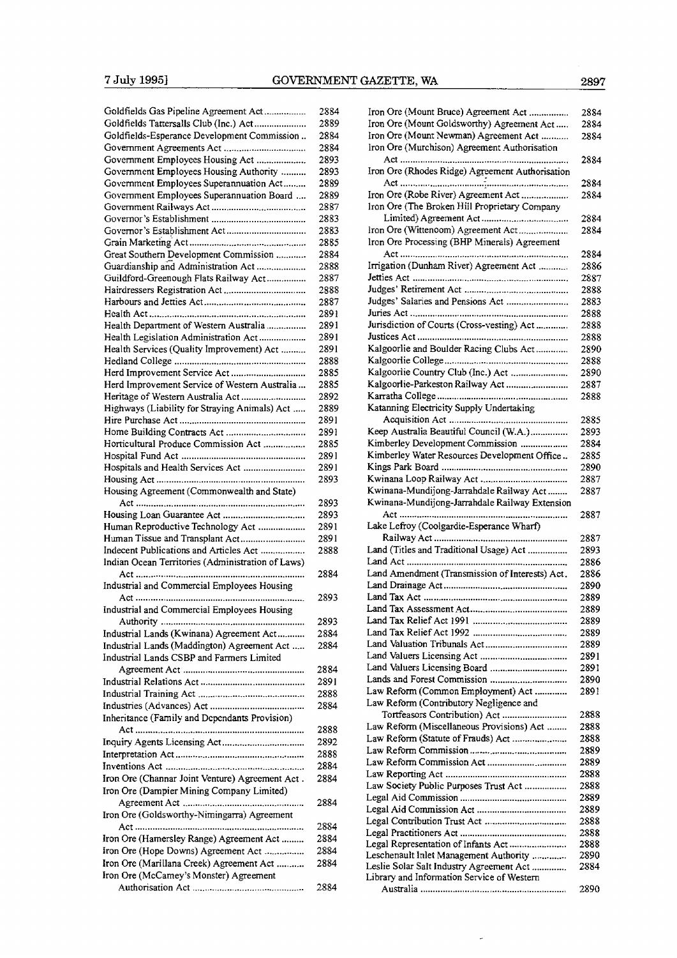| Goldfields Gas Pipeline Agreement Act             | 2884         |
|---------------------------------------------------|--------------|
| Goldfields Tattersalls Club (Inc.) Act            | 2889         |
| Goldfields-Esperance Development Commission       | 2884         |
|                                                   | 2884         |
| Government Employees Housing Act                  | 2893         |
| Government Employees Housing Authority            | 2893         |
| Government Employees Superannuation Act           | 2889         |
| Government Employees Superannuation Board         | 2889         |
|                                                   | 2887         |
|                                                   | 2883         |
|                                                   | 2883         |
|                                                   | 2885         |
| Great Southern Development Commission             | 2884         |
| Guardianship and Administration Act               | 2888         |
| Guildford-Greenough Flats Railway Act             | 2887         |
|                                                   | 2888         |
|                                                   | 2887         |
| Health Department of Western Australia            | 2891         |
|                                                   | 2891<br>2891 |
| Health Legislation Administration Act             |              |
| Health Services (Quality Improvement) Act         | 2891         |
|                                                   | 2888         |
| Herd Improvement Service Act                      | 2885         |
| Herd Improvement Service of Western Australia     | 2885         |
| Heritage of Western Australia Act                 | 2892         |
| Highways (Liability for Straying Animals) Act     | 2889         |
|                                                   | 2891         |
| Home Building Contracts Act                       | 2891         |
| Horticultural Produce Commission Act              | 2885         |
|                                                   | 2891         |
| Hospitals and Health Services Act                 | 2891         |
|                                                   | 2893         |
| Housing Agreement (Commonwealth and State)        |              |
|                                                   | 2893         |
|                                                   | 2893         |
| Human Reproductive Technology Act                 | 2891         |
| Human Tissue and Transplant Act                   | 2891         |
| Indecent Publications and Articles Act            | 2888         |
| Indian Ocean Territories (Administration of Laws) |              |
| .<br>Industrial and Commercial Employees Housing  | 2884         |
| Act                                               |              |
|                                                   | 2893         |
| Industrial and Commercial Employees Housing       |              |
| Industrial Lands (Kwinana) Agreement Act          | 2893         |
|                                                   | 2884         |
| Industrial Lands (Maddington) Agreement Act       | 2884         |
| Industrial Lands CSBP and Farmers Limited         |              |
|                                                   | 2884         |
|                                                   | 2891         |
|                                                   | 2888         |
|                                                   | 2884         |
| Inheritance (Family and Dependants Provision)     |              |
|                                                   | 2888         |
|                                                   | 2892         |
|                                                   | 2888         |
|                                                   | 2884         |
| Iron Ore (Channar Joint Venture) Agreement Act.   | 2884         |
| Iron Ore (Dampier Mining Company Limited)         |              |
|                                                   | 2884         |
| Iron Ore (Goldsworthy-Nimingarra) Agreement       |              |
| Act                                               | 2884         |
| Iron Ore (Hamersley Range) Agreement Act          | 2884         |
| Iron Ore (Hope Downs) Agreement Act               | 2884         |
| Iron Ore (Marillana Creek) Agreement Act          | 2884         |
| Iron Ore (McCamey's Monster) Agreement            |              |
|                                                   | 2884         |

| Iron Ore (Mount Bruce) Agreement Act            | 2884 |
|-------------------------------------------------|------|
| Iron Ore (Mount Goldsworthy) Agreement Act      | 2884 |
| Iron Ore (Mount Newman) Agreement Act           | 2884 |
| Iron Ore (Murchison) Agreement Authorisation    |      |
|                                                 | 2884 |
| Iron Ore (Rhodes Ridge) Agreement Authorisation |      |
|                                                 | 2884 |
| Iron Ore (Robe River) Agreement Act             | 2884 |
| Iron Ore (The Broken Hill Proprietary Company   |      |
|                                                 | 2884 |
| Iron Ore (Wittenoom) Agreement Act              | 2884 |
| Iron Ore Processing (BHP Minerals) Agreement    |      |
|                                                 | 2884 |
| Irrigation (Dunham River) Agreement Act         | 2886 |
|                                                 | 2887 |
|                                                 | 2888 |
| Judges' Salaries and Pensions Act               | 2883 |
|                                                 | 2888 |
| Jurisdiction of Courts (Cross-vesting) Act      | 2888 |
|                                                 | 2888 |
| Kalgoorlie and Boulder Racing Clubs Act         | 2890 |
|                                                 | 2888 |
| Kalgoorlie Country Club (Inc.) Act              | 2890 |
| Kalgoorlie-Parkeston Railway Act                | 2887 |
|                                                 | 2888 |
| Katanning Electricity Supply Undertaking        |      |
|                                                 | 2885 |
| Keep Australia Beautiful Council (W.A.)         | 2893 |
| Kimberley Development Commission                | 2884 |
| Kimberley Water Resources Development Office    | 2885 |
|                                                 | 2890 |
|                                                 |      |
|                                                 | 2887 |
|                                                 |      |
| Kwinana-Mundijong-Jarrahdale Railway Act        | 2887 |
| Kwinana-Mundijong-Jarrahdale Railway Extension  |      |
|                                                 | 2887 |
| Lake Lefroy (Coolgardie-Esperance Wharf)        |      |
|                                                 | 2887 |
| Land (Titles and Traditional Usage) Act         | 2893 |
|                                                 | 2886 |
| Land Amendment (Transmission of Interests) Act. | 2886 |
|                                                 | 2890 |
|                                                 | 2889 |
|                                                 | 2889 |
|                                                 | 2889 |
|                                                 | 2889 |
|                                                 | 2889 |
|                                                 | 2891 |
| Land Valuers Licensing Board                    | 2891 |
| Lands and Forest Commission                     | 2890 |
| Law Reform (Common Employment) Act              | 2891 |
| Law Reform (Contributory Negligence and         |      |
| Tortfeasors Contribution) Act                   | 2888 |
| Law Reform (Miscellaneous Provisions) Act       | 2888 |
| Law Reform (Statute of Frauds) Act              | 2888 |
|                                                 | 2889 |
|                                                 | 2889 |
|                                                 | 2888 |
| Law Society Public Purposes Trust Act           | 2888 |
|                                                 | 2889 |
|                                                 | 2889 |
|                                                 | 2888 |
|                                                 | 2888 |
| Legal Representation of Infants Act             | 2888 |
| Leschenault Inlet Management Authority          | 2890 |
| Leslie Solar Salt Industry Agreement Act        | 2884 |
| Library and Information Service of Western      | 2890 |

 $\omega$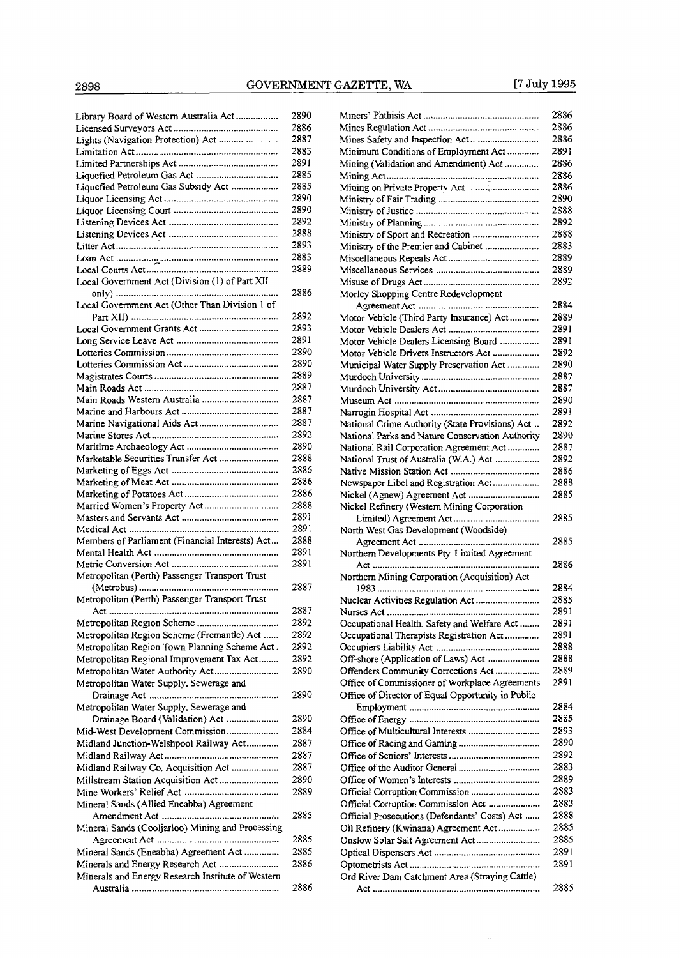| Library Board of Western Australia Act            | 2890 |
|---------------------------------------------------|------|
|                                                   | 2886 |
| Lights (Navigation Protection) Act                | 2887 |
|                                                   | 2883 |
|                                                   | 2891 |
|                                                   | 2885 |
| Liquefied Petroleum Gas Subsidy Act               | 2885 |
|                                                   | 2890 |
|                                                   | 2890 |
|                                                   | 2892 |
|                                                   | 2888 |
|                                                   | 2893 |
|                                                   | 2883 |
| Local Government Act (Division (1) of Part XII    | 2889 |
|                                                   | 2886 |
| Local Government Act (Other Than Division 1 of    |      |
|                                                   | 2892 |
| Local Government Grants Act                       | 2893 |
|                                                   | 2891 |
|                                                   | 2890 |
|                                                   | 2890 |
|                                                   | 2889 |
|                                                   | 2887 |
| Main Roads Western Australia                      | 2887 |
|                                                   | 2887 |
|                                                   | 2887 |
|                                                   | 2892 |
|                                                   | 2890 |
| Marketable Securities Transfer Act                | 2888 |
|                                                   | 2886 |
|                                                   | 2886 |
|                                                   | 2886 |
| Married Women's Property Act                      | 2888 |
|                                                   | 2891 |
|                                                   | 2891 |
| Members of Parliament (Financial Interests) Act   | 2888 |
|                                                   | 2891 |
|                                                   | 2891 |
| Metropolitan (Perth) Passenger Transport Trust    |      |
|                                                   | 2887 |
| Metropolitan (Perth) Passenger Transport Trust    |      |
|                                                   | 2887 |
| Metropolitan Region Scheme                        | 2892 |
| Metropolitan Region Scheme (Fremantle) Act        | 2892 |
| Metropolitan Region Town Planning Scheme Act.     | 2892 |
| Metropolitan Regional Improvement Tax Act         | 2892 |
| Metropolitan Water Authority Act                  | 2890 |
| Metropolitan Water Supply, Sewerage and           |      |
| .                                                 | 2890 |
| Metropolitan Water Supply, Sewerage and           |      |
| Drainage Board (Validation) Act                   | 2890 |
| Mid-West Development Commission                   | 2884 |
| Midland Junction-Welshpool Railway Act            | 2887 |
|                                                   | 2887 |
| Midland Railway Co. Acquisition Act               | 2887 |
| Millstream Station Acquisition Act                | 2890 |
|                                                   | 2889 |
| Mineral Sands (Allied Eneabba) Agreement          |      |
|                                                   | 2885 |
| Mineral Sands (Cooljarloo) Mining and Processing  |      |
|                                                   | 2885 |
| Mineral Sands (Eneabba) Agreement Act             | 2885 |
| Minerals and Energy Research Act                  | 2886 |
| Minerals and Energy Research Institute of Western |      |
|                                                   | 2886 |

|                                                        | 2886 |
|--------------------------------------------------------|------|
|                                                        | 2886 |
| Mines Safety and Inspection Act                        | 2886 |
|                                                        |      |
| Minimum Conditions of Employment Act                   | 2891 |
| Mining (Validation and Amendment) Act                  | 2886 |
|                                                        | 2886 |
|                                                        | 2886 |
|                                                        | 2890 |
|                                                        |      |
|                                                        | 2888 |
|                                                        | 2892 |
| Ministry of Sport and Recreation                       | 2888 |
| Ministry of the Premier and Cabinet                    | 2883 |
|                                                        |      |
|                                                        | 2889 |
|                                                        | 2889 |
|                                                        | 2892 |
| Morley Shopping Centre Redevelopment                   |      |
|                                                        |      |
|                                                        | 2884 |
| Motor Vehicle (Third Party Insurance) Act              | 2889 |
|                                                        | 2891 |
| Motor Vehicle Dealers Licensing Board                  | 2891 |
|                                                        | 2892 |
| Motor Vehicle Drivers Instructors Act                  |      |
| Municipal Water Supply Preservation Act                | 2890 |
|                                                        | 2887 |
|                                                        | 2887 |
|                                                        | 2890 |
|                                                        |      |
|                                                        | 2891 |
| National Crime Authority (State Provisions) Act        | 2892 |
| National Parks and Nature Conservation Authority       | 2890 |
| National Rail Corporation Agreement Act                | 2887 |
|                                                        |      |
| National Trust of Australia (W.A.) Act                 | 2892 |
|                                                        | 2886 |
|                                                        |      |
|                                                        | 2888 |
| Newspaper Libel and Registration Act                   |      |
|                                                        | 2885 |
| Nickel Refinery (Western Mining Corporation            |      |
|                                                        | 2885 |
|                                                        |      |
| North West Gas Development (Woodside)                  |      |
|                                                        | 2885 |
| Northern Developments Pty. Limited Agreement           |      |
|                                                        | 2886 |
| Northern Mining Corporation (Acquisition) Act          |      |
|                                                        | 2884 |
|                                                        |      |
| Nuclear Activities Regulation Act                      | 2885 |
| <b>Nurses Act</b><br>--------------------------------- | 2891 |
| Occupational Health, Safety and Welfare Act            | 2891 |
| Occupational Therapists Registration Act               | 2891 |
|                                                        | 2888 |
|                                                        |      |
| Off-shore (Application of Laws) Act                    | 2888 |
| Offenders Community Corrections Act                    | 2889 |
| Office of Commissioner of Workplace Agreements         | 2891 |
|                                                        |      |
| Office of Director of Equal Opportunity in Public      |      |
|                                                        | 2884 |
|                                                        | 2885 |
| Office of Multicultural Interests                      | 2893 |
|                                                        | 2890 |
|                                                        |      |
|                                                        | 2892 |
|                                                        | 2883 |
|                                                        | 2889 |
|                                                        | 2883 |
| Official Corruption Commission                         |      |
| Official Corruption Commission Act                     | 2883 |
| Official Prosecutions (Defendants' Costs) Act          | 2888 |
| Oil Refinery (Kwinana) Agreement Act                   | 2885 |
|                                                        | 2885 |
| Onslow Solar Salt Agreement Act                        |      |
|                                                        | 2891 |
|                                                        | 2891 |
| Ord River Dam Catchment Area (Straying Cattle)         | 2885 |

 $\hat{\mathcal{A}}$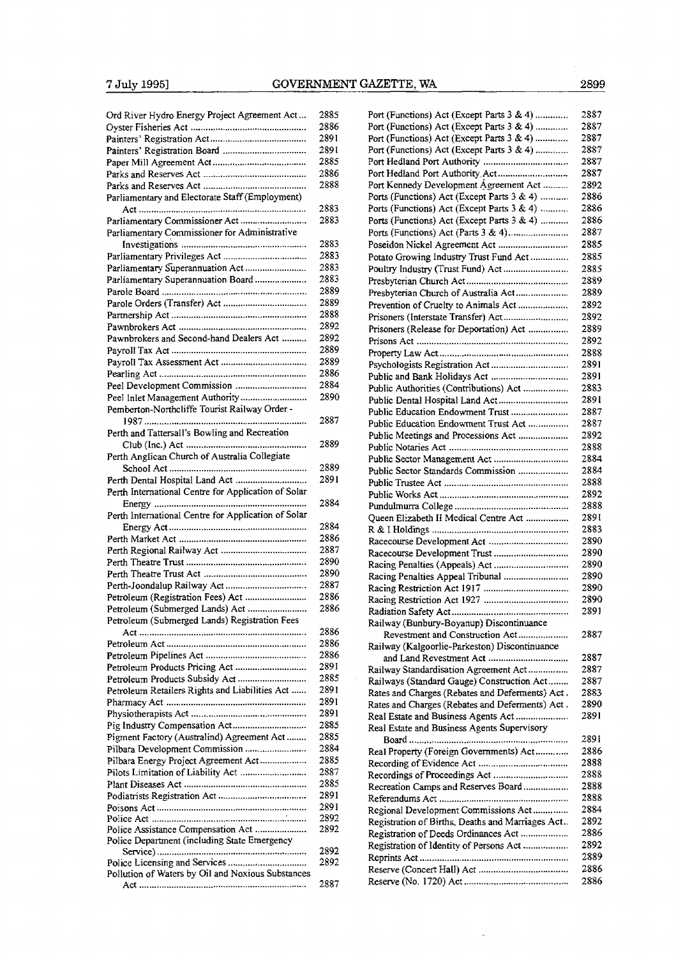| Ord River Hydro Energy Project Agreement Act        | 2885         |
|-----------------------------------------------------|--------------|
|                                                     | 2886         |
|                                                     | 2891         |
|                                                     | 2891         |
|                                                     | 2885         |
|                                                     | 2886         |
|                                                     | 2888         |
| Parliamentary and Electorate Staff (Employment)     |              |
|                                                     | 2883         |
| Parliamentary Commissioner Act                      | 2883         |
| Parliamentary Commissioner for Administrative       | 2883         |
|                                                     | 2883         |
| Parliamentary Superannuation Act                    | 2883         |
| Parliamentary Superannuation Board                  | 2883         |
|                                                     | 2889         |
|                                                     | 2889         |
|                                                     | 2888         |
|                                                     | 2892         |
| Pawnbrokers and Second-hand Dealers Act             | 2892         |
|                                                     | 2889         |
|                                                     | 2889         |
|                                                     | 2886         |
| Peel Development Commission                         | 2884         |
| Peel Inlet Management Authority                     | 2890         |
| Pemberton-Northcliffe Tourist Railway Order -       |              |
|                                                     | 2887         |
| Perth and Tattersall's Bowling and Recreation       |              |
|                                                     | 2889         |
| Perth Anglican Church of Australia Collegiate       |              |
|                                                     | 2889         |
| Perth Dental Hospital Land Act                      | 2891         |
| Perth International Centre for Application of Solar |              |
|                                                     |              |
|                                                     | 2884         |
| Perth International Centre for Application of Solar |              |
|                                                     | 2884         |
|                                                     | 2886         |
|                                                     | 2887         |
|                                                     | 2890         |
|                                                     | 2890<br>2887 |
|                                                     | 2886         |
| Petroleum (Registration Fees) Act                   | 2886         |
| Petroleum (Submerged Lands) Act                     |              |
| Petroleum (Submerged Lands) Registration Fees       | 2886         |
|                                                     | 2886         |
|                                                     | 2886         |
|                                                     | 2891         |
|                                                     | 2885         |
| Petroleum Retailers Rights and Liabilities Act      | 2891         |
|                                                     | 2891         |
|                                                     | 2891         |
| Pig Industry Compensation Act                       | 2885         |
| Pigment Factory (Australind) Agreement Act          | 2885         |
| Pilbara Development Commission                      | 2884         |
| Pilbara Energy Project Agreement Act                | 2885         |
| Pilots Limitation of Liability Act                  | 2887         |
|                                                     | 2885         |
|                                                     | 2891<br>2891 |
|                                                     | 2892         |
| Police Assistance Compensation Act                  | 2892         |
| Police Department (including State Emergency        |              |
|                                                     | 2892         |
|                                                     | 2892         |
| Pollution of Waters by Oil and Noxious Substances   | 2887         |

| Port (Functions) Act (Except Parts 3 & 4)        | 2887 |
|--------------------------------------------------|------|
| Port (Functions) Act (Except Parts 3 & 4)        | 2887 |
| Port (Functions) Act (Except Parts 3 & 4)        | 2887 |
| Port (Functions) Act (Except Parts 3 & 4)        | 2887 |
| Port Hedland Port Authority                      | 2887 |
| Port Hediand Port Authority Act                  | 2887 |
| Port Kennedy Development Agreement Act           | 2892 |
| Ports (Functions) Act (Except Parts 3 & 4)       | 2886 |
| Ports (Functions) Act (Except Parts 3 & 4)       | 2886 |
| Ports (Functions) Act (Except Parts 3 & 4)       | 2886 |
|                                                  | 2887 |
| Poseidon Nickel Agreement Act                    | 2885 |
| Potato Growing Industry Trust Fund Act           | 2885 |
| Poultry Industry (Trust Fund) Act                | 2885 |
|                                                  | 2889 |
| Presbyterian Church of Australia Act             | 2889 |
| Prevention of Cruelty to Animals Act             | 2892 |
| Prisoners (Interstate Transfer) Act              | 2892 |
| Prisoners (Release for Deportation) Act          | 2889 |
|                                                  | 2892 |
|                                                  | 2888 |
| Psychologists Registration Act                   | 2891 |
| Public and Bank Holidays Act                     | 2891 |
| Public Authorities (Contributions) Act           | 2883 |
| Public Dental Hospital Land Act                  | 2891 |
| Public Education Endowment Trust                 | 2887 |
| Public Education Endowment Trust Act             | 2887 |
| Public Meetings and Processions Act              | 2892 |
|                                                  | 2888 |
| Public Sector Management Act                     | 2884 |
| Public Sector Standards Commission               | 2884 |
|                                                  | 2888 |
|                                                  | 2892 |
|                                                  | 2888 |
| Queen Elizabeth II Medical Centre Act            | 2891 |
|                                                  | 2883 |
|                                                  | 2890 |
| Racecourse Development Trust                     | 2890 |
| Racing Penalties (Appeals) Act                   | 2890 |
| Racing Penalties Appeal Tribunal                 | 2890 |
|                                                  | 2890 |
|                                                  | 2890 |
|                                                  | 2891 |
| Railway (Bunbury-Boyanup) Discontinuance         |      |
| Revestment and Construction Act                  | 2887 |
| Railway (Kalgoorlie-Parkeston) Discontinuance    |      |
|                                                  | 2887 |
| Railway Standardisation Agreement Act            | 2887 |
| Railways (Standard Gauge) Construction Act       | 2887 |
| Rates and Charges (Rebates and Deferments) Act.  | 2883 |
| Rates and Charges (Rebates and Deferments) Act.  | 2890 |
| Real Estate and Business Agents Act              | 2891 |
| Real Estate and Business Agents Supervisory      |      |
|                                                  | 2891 |
| Real Property (Foreign Governments) Act          | 2886 |
|                                                  | 2888 |
| Recordings of Proceedings Act                    | 2888 |
| Recreation Camps and Reserves Board              | 2888 |
|                                                  | 2888 |
| Regional Development Commissions Act             | 2884 |
| Registration of Births, Deaths and Marriages Act | 2892 |
| Registration of Deeds Ordinances Act             | 2886 |
| Registration of Identity of Persons Act          | 2892 |
|                                                  | 2889 |
|                                                  | 2886 |
|                                                  | 2886 |

 $\ddot{\phantom{a}}$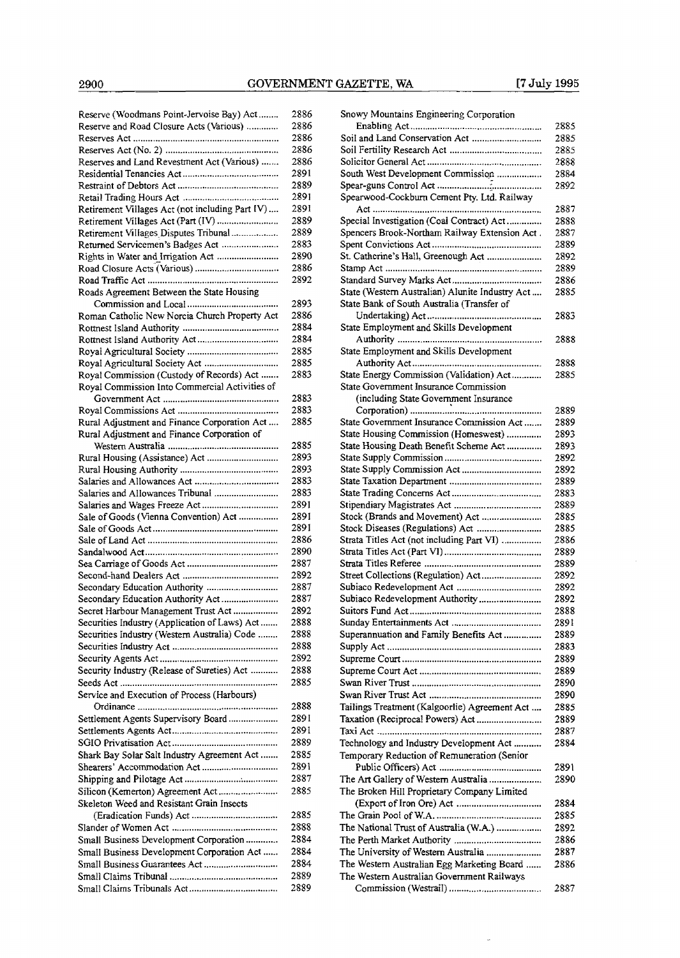| Reserve (Woodmans Point-Jervoise Bay) Act       | 2886 |
|-------------------------------------------------|------|
| Reserve and Road Closure Acts (Various)         | 2886 |
|                                                 | 2886 |
|                                                 | 2886 |
|                                                 |      |
| Reserves and Land Revestment Act (Various)      | 2886 |
|                                                 | 2891 |
|                                                 | 2889 |
|                                                 | 2891 |
| Retirement Villages Act (not including Part IV) | 2891 |
|                                                 |      |
| Retirement Villages Act (Part (IV)              | 2889 |
| Retirement Villages Disputes Tribunal           | 2889 |
| Returned Servicemen's Badges Act                | 2883 |
| Rights in Water and Irrigation Act              | 2890 |
|                                                 |      |
| Road Closure Acts (Various)                     | 2886 |
|                                                 | 2892 |
| Roads Agreement Between the State Housing       |      |
|                                                 | 2893 |
|                                                 |      |
| Roman Catholic New Norcia Church Property Act   | 2886 |
|                                                 | 2884 |
|                                                 | 2884 |
|                                                 | 2885 |
|                                                 | 2885 |
|                                                 |      |
| Royal Commission (Custody of Records) Act       | 2883 |
| Royal Commission Into Commercial Activities of  |      |
|                                                 | 2883 |
|                                                 | 2883 |
|                                                 |      |
| Rural Adjustment and Finance Corporation Act    | 2885 |
| Rural Adjustment and Finance Corporation of     |      |
|                                                 | 2885 |
| Rural Housing (Assistance) Act                  | 2893 |
|                                                 |      |
|                                                 | 2893 |
|                                                 | 2883 |
| Salaries and Allowances Tribunal                | 2883 |
| Salaries and Wages Freeze Act                   | 2891 |
|                                                 |      |
| Sale of Goods (Vienna Convention) Act           | 2891 |
|                                                 | 2891 |
|                                                 | 2886 |
|                                                 | 2890 |
|                                                 | 2887 |
|                                                 |      |
|                                                 | 2892 |
| Secondary Education Authority                   | 2887 |
| Secondary Education Authority Act               | 2887 |
| Secret Harbour Management Trust Act             | 2892 |
|                                                 |      |
| Securities Industry (Application of Laws) Act   | 2888 |
| Securities Industry (Western Australia) Code    | 2888 |
|                                                 | 2888 |
|                                                 | 2892 |
|                                                 |      |
| Security Industry (Release of Sureties) Act     | 2888 |
|                                                 | 2885 |
| Service and Execution of Process (Harbours)     |      |
|                                                 | 2888 |
|                                                 |      |
| Settlement Agents Supervisory Board             | 2891 |
|                                                 | 2891 |
|                                                 | 2889 |
| Shark Bay Solar Salt Industry Agreement Act     | 2885 |
|                                                 |      |
|                                                 | 2891 |
|                                                 | 2887 |
| Silicon (Kemerton) Agreement Act                | 2885 |
| Skeleton Weed and Resistant Grain Insects       |      |
|                                                 |      |
|                                                 | 2885 |
|                                                 | 2888 |
| Small Business Development Corporation          | 2884 |
| Small Business Development Corporation Act      | 2884 |
|                                                 |      |
|                                                 | 2884 |
|                                                 | 2889 |
|                                                 | 2889 |
|                                                 |      |

| Snowy Mountains Engineering Corporation         |              |
|-------------------------------------------------|--------------|
|                                                 | 2885         |
| Soil and Land Conservation Act                  | 2885         |
|                                                 | 2885         |
|                                                 | 2888         |
| South West Development Commission               | 2884         |
|                                                 | 2892         |
| Spearwood-Cockburn Cement Pty. Ltd. Railway     |              |
|                                                 | 2887         |
| Special Investigation (Coal Contract) Act       | 2888         |
| Spencers Brook-Northam Railway Extension Act.   | 2887         |
| St. Catherine's Hall, Greenough Act             | 2889         |
|                                                 | 2892<br>2889 |
|                                                 | 2886         |
| State (Western Australian) Alunite Industry Act | 2885         |
| State Bank of South Australia (Transfer of      |              |
|                                                 | 2883         |
| State Employment and Skills Development         |              |
|                                                 | 2888         |
| State Employment and Skills Development         |              |
|                                                 | 2888         |
| State Energy Commission (Validation) Act        | 2885         |
| State Government Insurance Commission           |              |
| (including State Government Insurance           |              |
|                                                 | 2889         |
| State Government Insurance Commission Act       | 2889         |
| State Housing Commission (Homeswest)            | 2893         |
| State Housing Death Benefit Scheme Act          | 2893         |
|                                                 | 2892         |
| State Supply Commission Act                     | 2892         |
|                                                 | 2889         |
|                                                 | 2883         |
|                                                 | 2889         |
| Stock (Brands and Movement) Act                 | 2885         |
| Stock Diseases (Regulations) Act                | 2885         |
| Strata Titles Act (not including Part VI)       | 2886         |
|                                                 | 2889         |
|                                                 | 2889         |
| Street Collections (Regulation) Act             | 2892         |
|                                                 | 2892         |
| Subiaco Redevelopment Authority                 | 2892         |
|                                                 | 2888         |
|                                                 | 2891         |
| Superannuation and Family Benefits Act          | 2889         |
|                                                 | 2883         |
|                                                 | 2889         |
|                                                 | 2889         |
|                                                 | 2890         |
|                                                 | 2890         |
| Tailings Treatment (Kalgoorlie) Agreement Act   | 2885         |
|                                                 | 2889         |
|                                                 | 2887         |
| Technology and Industry Development Act         | 2884         |
| Temporary Reduction of Remuneration (Senior     |              |
|                                                 | 2891         |
| The Art Gallery of Western Australia            | 2890         |
| The Broken Hill Proprietary Company Limited     |              |
|                                                 | 2884         |
|                                                 | 2885         |
| The National Trust of Australia (W.A.)          | 2892         |
|                                                 | 2886         |
| The University of Western Australia             | 2887         |
| The Western Australian Egg Marketing Board      | 2886         |
| The Western Australian Government Railways      |              |
|                                                 | 2887         |

 $\downarrow$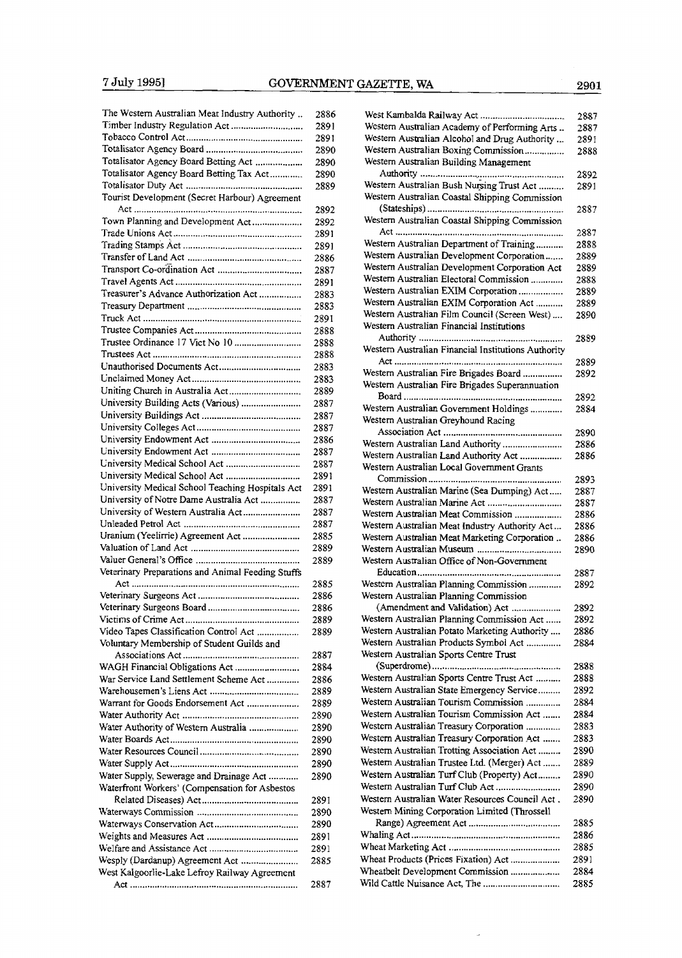| The Western Australian Meat Industry Authority    | 2886 |
|---------------------------------------------------|------|
| Timber Industry Regulation Act                    | 2891 |
|                                                   | 2891 |
|                                                   | 2890 |
| Totalisator Agency Board Betting Act              | 2890 |
| Totalisator Agency Board Betting Tax Act          | 2890 |
|                                                   | 2889 |
| Tourist Development (Secret Harbour) Agreement    |      |
|                                                   | 2892 |
| Town Planning and Development Act                 | 2892 |
|                                                   | 2891 |
|                                                   |      |
|                                                   | 2891 |
|                                                   | 2886 |
|                                                   | 2887 |
|                                                   | 2891 |
| Treasurer's Advance Authorization Act             | 2883 |
|                                                   | 2883 |
|                                                   | 2891 |
|                                                   | 2888 |
| Trustee Ordinance 17 Vict No 10                   | 2888 |
|                                                   | 2888 |
|                                                   | 2883 |
|                                                   | 2883 |
| Uniting Church in Australia Act                   | 2889 |
|                                                   |      |
| University Building Acts (Various)                | 2887 |
|                                                   | 2887 |
|                                                   | 2887 |
|                                                   | 2886 |
|                                                   | 2887 |
| University Medical School Act                     | 2887 |
| University Medical School Act                     | 2891 |
| University Medical School Teaching Hospitals Act  | 2891 |
| University of Notre Dame Australia Act            | 2887 |
| University of Western Australia Act               | 2887 |
|                                                   | 2887 |
| Uranium (Yeelirrie) Agreement Act                 | 2885 |
|                                                   | 2889 |
|                                                   |      |
|                                                   | 2889 |
| Veterinary Preparations and Animal Feeding Stuffs |      |
|                                                   | 2885 |
|                                                   | 2886 |
|                                                   | 2886 |
|                                                   | 2889 |
| Video Tapes Classification Control Act            | 2889 |
| Voluntary Membership of Student Guilds and        |      |
|                                                   | 2887 |
| WAGH Financial Obligations Act                    | 2884 |
| War Service Land Settlement Scheme Act            | 2886 |
|                                                   | 2889 |
| Warrant for Goods Endorsement Act                 | 2889 |
|                                                   | 2890 |
| Water Authority of Western Australia              | 2890 |
|                                                   | 2890 |
|                                                   |      |
|                                                   | 2890 |
|                                                   | 2890 |
| Water Supply, Sewerage and Drainage Act           | 2890 |
| Waterfront Workers' (Compensation for Asbestos    |      |
|                                                   | 2891 |
|                                                   | 2890 |
|                                                   | 2890 |
|                                                   | 2891 |
|                                                   | 2891 |
| Wesply (Dardanup) Agreement Act                   | 2885 |
| West Kalgoorlie-Lake Lefroy Railway Agreement     |      |
|                                                   | 2887 |
|                                                   |      |

|                                                                                             | 2887         |
|---------------------------------------------------------------------------------------------|--------------|
| Western Australian Academy of Performing Arts                                               | 2887         |
| Western Australian Alcohol and Drug Authority                                               | 2891         |
| Western Australian Boxing Commission                                                        | 2888         |
| Western Australian Building Management                                                      |              |
|                                                                                             | 2892         |
|                                                                                             | 2891         |
| Western Australian Coastal Shipping Commission                                              |              |
|                                                                                             | 2887         |
|                                                                                             |              |
|                                                                                             | 2887         |
| Western Australian Department of Training                                                   | 2888         |
| Western Australian Development Corporation                                                  | 2889         |
| Western Australian Development Corporation Act                                              | 2889         |
| Western Australian Electoral Commission                                                     | 2888         |
| Western Australian EXIM Corporation<br>Western Australian EXIM Corporation Act              | 2889         |
| Western Australian Film Council (Screen West)                                               | 2889<br>2890 |
| Western Australian Financial Institutions                                                   |              |
|                                                                                             | 2889         |
| Western Australian Financial Institutions Authority                                         |              |
|                                                                                             | 2889         |
| Western Australian Fire Brigades Board                                                      | 2892         |
| Western Australian Fire Brigades Superannuation                                             |              |
|                                                                                             | 2892         |
| Western Australian Government Holdings                                                      | 2884         |
| Western Australian Greyhound Racing                                                         |              |
|                                                                                             | 2890         |
| Western Australian Land Authority                                                           | 2886         |
| Western Australian Land Authority Act                                                       | 2886         |
| Western Australian Local Government Grants                                                  |              |
|                                                                                             | 2893         |
| Western Australian Marine (Sea Dumping) Act                                                 | 2887         |
| Western Australian Marine Act                                                               | 2887         |
| Western Australian Meat Commission                                                          | 2886         |
| Western Australian Meat Industry Authority Act                                              | 2886         |
| Western Australian Meat Marketing Corporation                                               | 2886         |
|                                                                                             | 2890         |
| Western Australian Office of Non-Government                                                 |              |
|                                                                                             | 2887         |
| Western Australian Planning Commission                                                      | 2892         |
| Western Australian Planning Commission<br>(Amendment and Validation) Act                    |              |
|                                                                                             | 2892         |
| Western Australian Planning Commission Act<br>Western Australian Potato Marketing Authority | 2892<br>2886 |
| Western Australian Products Symbol Act                                                      | 2884         |
| Western Australian Sports Centre Trust                                                      |              |
|                                                                                             | 2888         |
| Western Australian Sports Centre Trust Act                                                  | 2888         |
| Western Australian State Emergency Service                                                  | 2892         |
| Western Australian Tourism Commission                                                       | 2884         |
| Western Australian Tourism Commission Act                                                   | 2884         |
| Western Australian Treasury Corporation                                                     | 2883         |
| Western Australian Treasury Corporation Act                                                 | 2883         |
| Western Australian Trotting Association Act                                                 | 2890         |
| Western Australian Trustee Ltd. (Merger) Act                                                | 2889         |
| Western Australian Turf Club (Property) Act                                                 | 2890         |
| Western Australian Turf Club Act                                                            | 2890         |
| Western Australian Water Resources Council Act.                                             | 2890         |
| Western Mining Corporation Limited (Throssell                                               |              |
|                                                                                             | 2885         |
|                                                                                             | 2886         |
|                                                                                             | 2885         |
| Wheat Products (Prices Fixation) Act                                                        | 2891         |
| Wheatbelt Development Commission                                                            | 2884         |
|                                                                                             | 2885         |

 $\omega$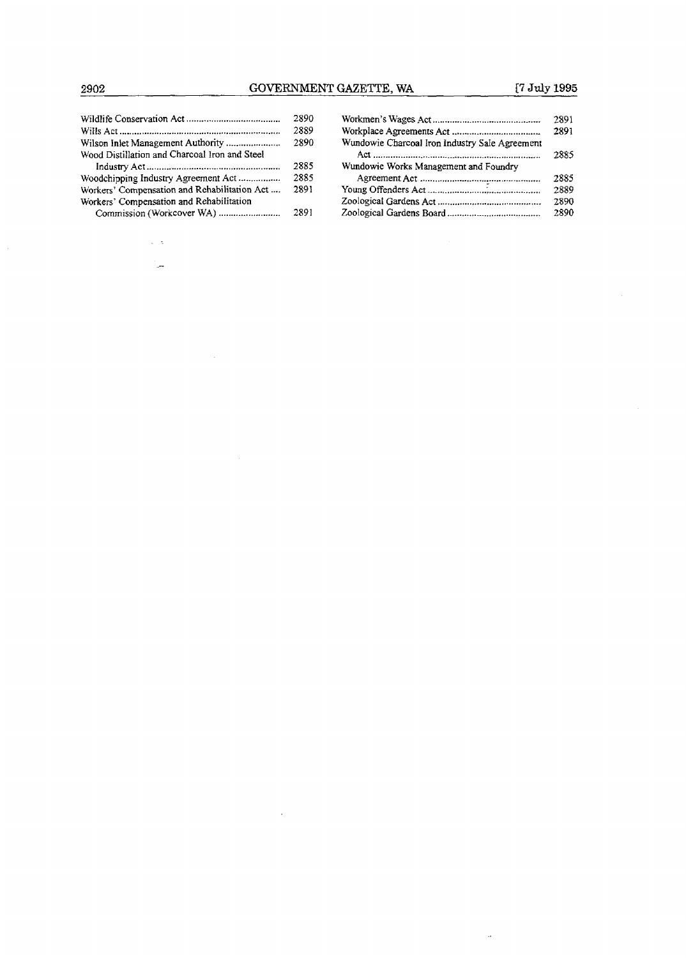# **2902** GOVERNMENT GAZETTE. **WA** 17 July **1995**

 $\mathcal{A}$ 

 $\cdot$ 

|                                               | 2890 |
|-----------------------------------------------|------|
|                                               | 2889 |
|                                               | 2890 |
| Wood Distillation and Charcoal Iron and Steel |      |
|                                               | 2885 |
|                                               | 2885 |
| Workers' Compensation and Rehabilitation Act  | 2891 |
| Workers' Compensation and Rehabilitation      |      |
|                                               | 2891 |

 $\omega_{\rm c}$  .

Ļ.

|                                                | 2891 |
|------------------------------------------------|------|
|                                                | 2891 |
| Wundowie Charcoal Iron Industry Sale Agreement |      |
|                                                | 2385 |
| Wundowie Works Management and Foundry          |      |
|                                                | 2885 |
|                                                | 2889 |
|                                                | 2890 |
|                                                | 2890 |

 $\omega_{\rm c}$